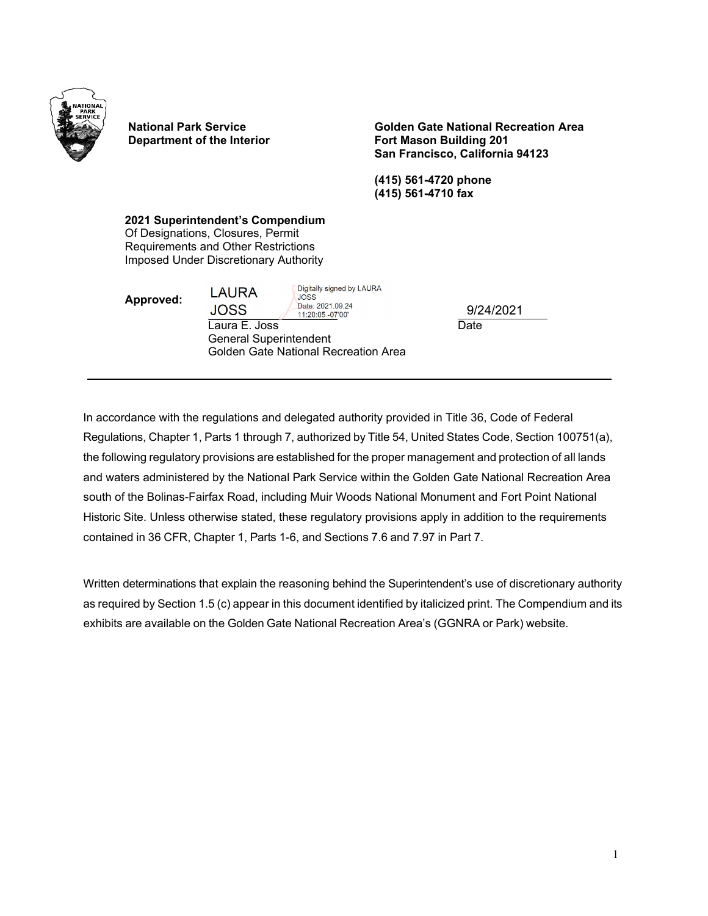

**National Park Service Department of the Interior** **Golden Gate National Recreation Area Fort Mason Building 201 San Francisco, California 94123**

**(415) 561-4720 phone (415) 561-4710 fax**

**2021 Superintendent's Compendium**  Of Designations, Closures, Permit Requirements and Other Restrictions Imposed Under Discretionary Authority

**Approved:** 

**LAURA** 

Digitally signed by LAURA **JOSS** Date: 2021.09.24

**JOSS** 11:20:05 -07'00' Laura E. Joss General Superintendent Golden Gate National Recreation Area **Date** 9/24/2021

In accordance with the regulations and delegated authority provided in Title 36, Code of Federal Regulations, Chapter 1, Parts 1 through 7, authorized by Title 54, United States Code, Section 100751(a), the following regulatory provisions are established for the proper management and protection of all lands and waters administered by the National Park Service within the Golden Gate National Recreation Area south of the Bolinas-Fairfax Road, including Muir Woods National Monument and Fort Point National Historic Site. Unless otherwise stated, these regulatory provisions apply in addition to the requirements contained in 36 CFR, Chapter 1, Parts 1-6, and Sections 7.6 and 7.97 in Part 7.

Written determinations that explain the reasoning behind the Superintendent's use of discretionary authority as required by Section 1.5 (c) appear in this document identified by italicized print. The Compendium and its exhibits are available on the Golden Gate National Recreation Area's (GGNRA or Park) website.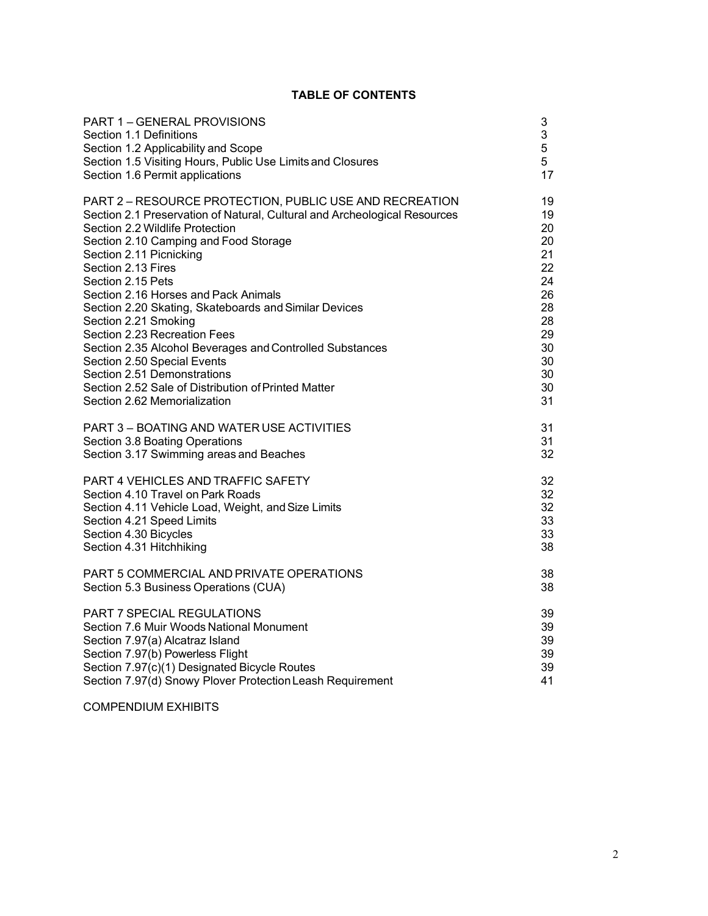# **TABLE OF CONTENTS**

| PART 1-GENERAL PROVISIONS                                                 | 3  |
|---------------------------------------------------------------------------|----|
| Section 1.1 Definitions                                                   | 3  |
| Section 1.2 Applicability and Scope                                       | 5  |
| Section 1.5 Visiting Hours, Public Use Limits and Closures                | 5  |
| Section 1.6 Permit applications                                           | 17 |
| PART 2 - RESOURCE PROTECTION, PUBLIC USE AND RECREATION                   | 19 |
| Section 2.1 Preservation of Natural, Cultural and Archeological Resources | 19 |
| Section 2.2 Wildlife Protection                                           | 20 |
| Section 2.10 Camping and Food Storage                                     | 20 |
| Section 2.11 Picnicking                                                   | 21 |
| Section 2.13 Fires                                                        | 22 |
| Section 2.15 Pets                                                         | 24 |
| Section 2.16 Horses and Pack Animals                                      | 26 |
| Section 2.20 Skating, Skateboards and Similar Devices                     | 28 |
| Section 2.21 Smoking                                                      | 28 |
| Section 2.23 Recreation Fees                                              | 29 |
| Section 2.35 Alcohol Beverages and Controlled Substances                  | 30 |
| Section 2.50 Special Events                                               | 30 |
| Section 2.51 Demonstrations                                               | 30 |
| Section 2.52 Sale of Distribution of Printed Matter                       | 30 |
| Section 2.62 Memorialization                                              | 31 |
| PART 3 - BOATING AND WATER USE ACTIVITIES                                 | 31 |
| Section 3.8 Boating Operations                                            | 31 |
| Section 3.17 Swimming areas and Beaches                                   | 32 |
| PART 4 VEHICLES AND TRAFFIC SAFETY                                        | 32 |
| Section 4.10 Travel on Park Roads                                         | 32 |
| Section 4.11 Vehicle Load, Weight, and Size Limits                        | 32 |
| Section 4.21 Speed Limits                                                 | 33 |
| Section 4.30 Bicycles                                                     | 33 |
| Section 4.31 Hitchhiking                                                  | 38 |
| PART 5 COMMERCIAL AND PRIVATE OPERATIONS                                  | 38 |
| Section 5.3 Business Operations (CUA)                                     | 38 |
| PART 7 SPECIAL REGULATIONS                                                | 39 |
| Section 7.6 Muir Woods National Monument                                  | 39 |
| Section 7.97(a) Alcatraz Island                                           | 39 |
| Section 7.97(b) Powerless Flight                                          | 39 |
| Section 7.97(c)(1) Designated Bicycle Routes                              | 39 |
| Section 7.97(d) Snowy Plover Protection Leash Requirement                 | 41 |

COMPENDIUM EXHIBITS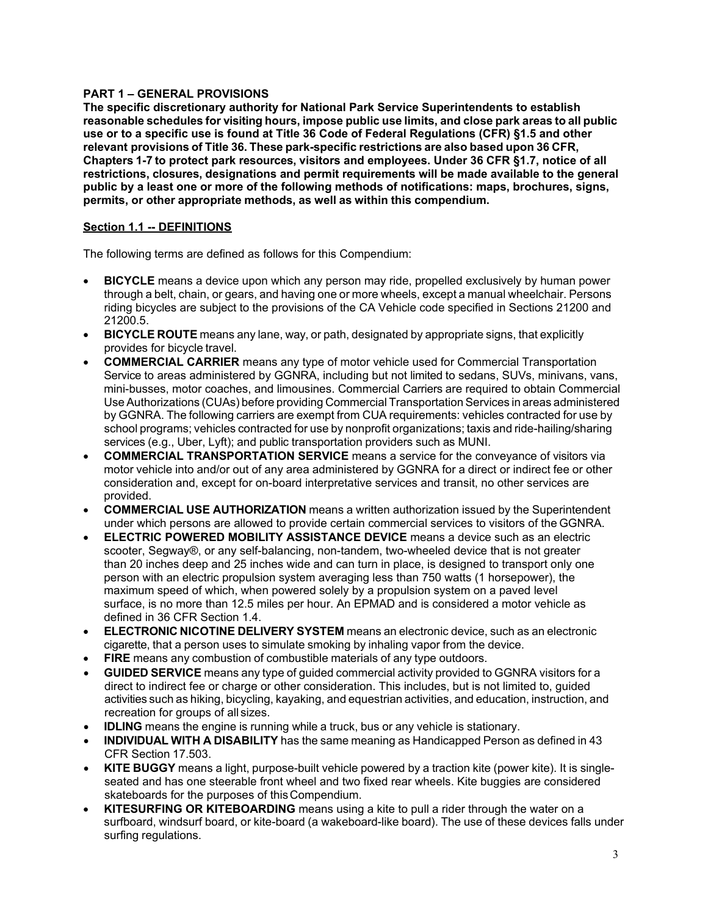# <span id="page-2-0"></span>**PART 1 – GENERAL PROVISIONS**

**The specific discretionary authority for National Park Service Superintendents to establish reasonable schedules for visiting hours, impose public use limits, and close park areas to all public use or to a specific use is found at Title 36 Code of Federal Regulations (CFR) §1.5 and other relevant provisions of Title 36. These park-specific restrictions are also based upon 36 CFR, Chapters 1-7 to protect park resources, visitors and employees. Under 36 CFR §1.7, notice of all restrictions, closures, designations and permit requirements will be made available to the general public by a least one or more of the following methods of notifications: maps, brochures, signs, permits, or other appropriate methods, as well as within this compendium.** 

# <span id="page-2-1"></span>**Section 1.1 -- DEFINITIONS**

The following terms are defined as follows for this Compendium:

- **BICYCLE** means a device upon which any person may ride, propelled exclusively by human power through a belt, chain, or gears, and having one or more wheels, except a manual wheelchair. Persons riding bicycles are subject to the provisions of the CA Vehicle code specified in Sections 21200 and 21200.5.
- **BICYCLE ROUTE** means any lane, way, or path, designated by appropriate signs, that explicitly provides for bicycle travel.
- **COMMERCIAL CARRIER** means any type of motor vehicle used for Commercial Transportation Service to areas administered by GGNRA, including but not limited to sedans, SUVs, minivans, vans, mini-busses, motor coaches, and limousines. Commercial Carriers are required to obtain Commercial Use Authorizations (CUAs) before providing Commercial Transportation Services in areas administered by GGNRA. The following carriers are exempt from CUA requirements: vehicles contracted for use by school programs; vehicles contracted for use by nonprofit organizations; taxis and ride-hailing/sharing services (e.g., Uber, Lyft); and public transportation providers such as MUNI.
- **COMMERCIAL TRANSPORTATION SERVICE** means a service for the conveyance of visitors via motor vehicle into and/or out of any area administered by GGNRA for a direct or indirect fee or other consideration and, except for on-board interpretative services and transit, no other services are provided.
- **COMMERCIAL USE AUTHORIZATION** means a written authorization issued by the Superintendent under which persons are allowed to provide certain commercial services to visitors of the GGNRA.
- **ELECTRIC POWERED MOBILITY ASSISTANCE DEVICE** means a device such as an electric scooter, Segway®, or any self-balancing, non-tandem, two-wheeled device that is not greater than 20 inches deep and 25 inches wide and can turn in place, is designed to transport only one person with an electric propulsion system averaging less than 750 watts (1 horsepower), the maximum speed of which, when powered solely by a propulsion system on a paved level surface, is no more than 12.5 miles per hour. An EPMAD and is considered a motor vehicle as defined in 36 CFR Section 1.4.
- **ELECTRONIC NICOTINE DELIVERY SYSTEM** means an electronic device, such as an electronic cigarette, that a person uses to simulate smoking by inhaling vapor from the device.
- **FIRE** means any combustion of combustible materials of any type outdoors.
- **GUIDED SERVICE** means any type of guided commercial activity provided to GGNRA visitors for a direct to indirect fee or charge or other consideration. This includes, but is not limited to, guided activities such as hiking, bicycling, kayaking, and equestrian activities, and education, instruction, and recreation for groups of all sizes.
- **IDLING** means the engine is running while a truck, bus or any vehicle is stationary.
- **INDIVIDUAL WITH A DISABILITY** has the same meaning as Handicapped Person as defined in 43 CFR Section 17.503.
- **KITE BUGGY** means a light, purpose-built vehicle powered by a traction kite (power kite). It is singleseated and has one steerable front wheel and two fixed rear wheels. Kite buggies are considered skateboards for the purposes of thisCompendium.
- **KITESURFING OR KITEBOARDING** means using a kite to pull a rider through the water on a surfboard, windsurf board, or kite-board (a wakeboard-like board). The use of these devices falls under surfing regulations.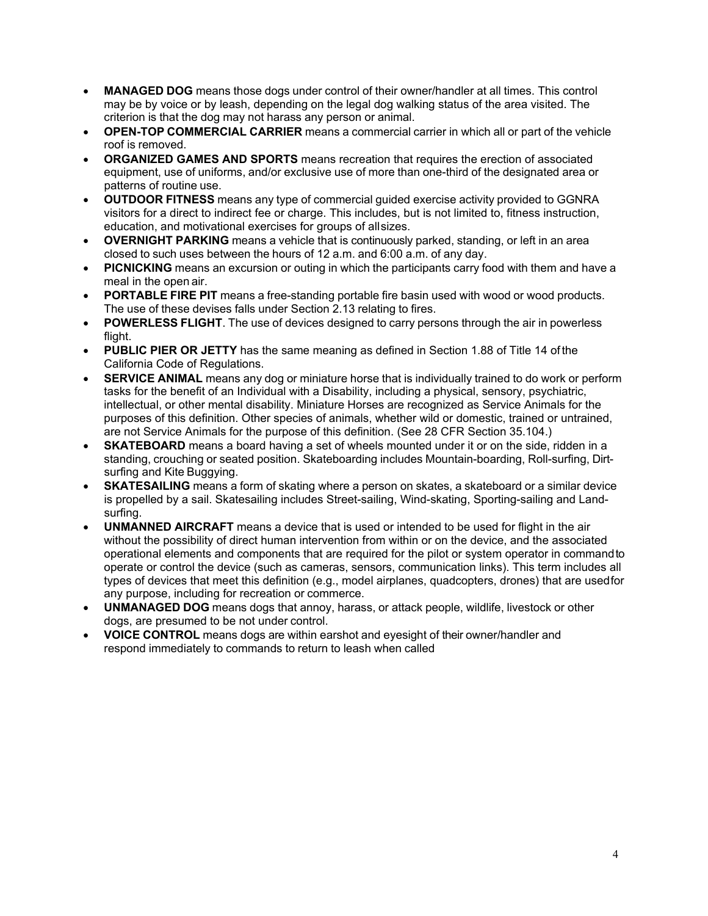- **MANAGED DOG** means those dogs under control of their owner/handler at all times. This control may be by voice or by leash, depending on the legal dog walking status of the area visited. The criterion is that the dog may not harass any person or animal.
- **OPEN-TOP COMMERCIAL CARRIER** means a commercial carrier in which all or part of the vehicle roof is removed.
- **ORGANIZED GAMES AND SPORTS** means recreation that requires the erection of associated equipment, use of uniforms, and/or exclusive use of more than one-third of the designated area or patterns of routine use.
- **OUTDOOR FITNESS** means any type of commercial guided exercise activity provided to GGNRA visitors for a direct to indirect fee or charge. This includes, but is not limited to, fitness instruction, education, and motivational exercises for groups of allsizes.
- **OVERNIGHT PARKING** means a vehicle that is continuously parked, standing, or left in an area closed to such uses between the hours of 12 a.m. and 6:00 a.m. of any day.
- **PICNICKING** means an excursion or outing in which the participants carry food with them and have a meal in the open air.
- **PORTABLE FIRE PIT** means a free-standing portable fire basin used with wood or wood products. The use of these devises falls under Section 2.13 relating to fires.
- **POWERLESS FLIGHT**. The use of devices designed to carry persons through the air in powerless flight.
- **PUBLIC PIER OR JETTY** has the same meaning as defined in Section 1.88 of Title 14 of the California Code of Regulations.
- **SERVICE ANIMAL** means any dog or miniature horse that is individually trained to do work or perform tasks for the benefit of an Individual with a Disability, including a physical, sensory, psychiatric, intellectual, or other mental disability. Miniature Horses are recognized as Service Animals for the purposes of this definition. Other species of animals, whether wild or domestic, trained or untrained, are not Service Animals for the purpose of this definition. (See 28 CFR Section 35.104.)
- **SKATEBOARD** means a board having a set of wheels mounted under it or on the side, ridden in a standing, crouching or seated position. Skateboarding includes Mountain-boarding, Roll-surfing, Dirtsurfing and Kite Buggying.
- **SKATESAILING** means a form of skating where a person on skates, a skateboard or a similar device is propelled by a sail. Skatesailing includes Street-sailing, Wind-skating, Sporting-sailing and Landsurfing.
- **UNMANNED AIRCRAFT** means a device that is used or intended to be used for flight in the air without the possibility of direct human intervention from within or on the device, and the associated operational elements and components that are required for the pilot or system operator in commandto operate or control the device (such as cameras, sensors, communication links). This term includes all types of devices that meet this definition (e.g., model airplanes, quadcopters, drones) that are usedfor any purpose, including for recreation or commerce.
- **UNMANAGED DOG** means dogs that annoy, harass, or attack people, wildlife, livestock or other dogs, are presumed to be not under control.
- **VOICE CONTROL** means dogs are within earshot and eyesight of their owner/handler and respond immediately to commands to return to leash when called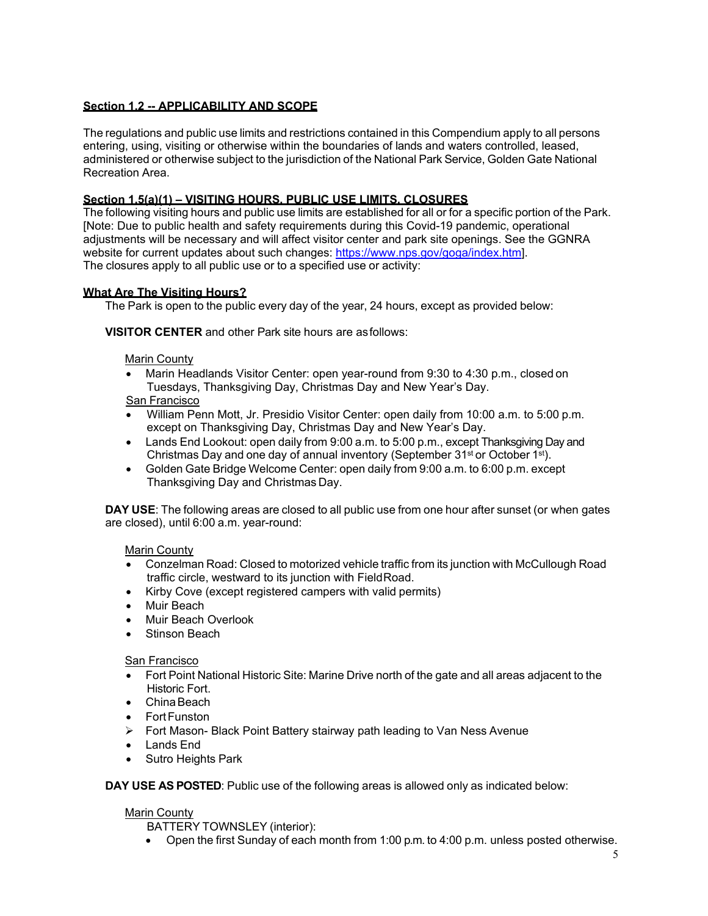# <span id="page-4-0"></span>**Section 1.2 -- APPLICABILITY AND SCOPE**

The regulations and public use limits and restrictions contained in this Compendium apply to all persons entering, using, visiting or otherwise within the boundaries of lands and waters controlled, leased, administered or otherwise subject to the jurisdiction of the National Park Service, Golden Gate National Recreation Area.

# **Section 1.5(a)(1) – VISITING HOURS, PUBLIC USE LIMITS, CLOSURES**

The following visiting hours and public use limits are established for all or for a specific portion of the Park. [Note: Due to public health and safety requirements during this Covid-19 pandemic, operational adjustments will be necessary and will affect visitor center and park site openings. See the GGNRA website for current updates about such changes: [https://www.nps.gov/goga/index.htm\]](https://www.nps.gov/goga/index.htm). The closures apply to all public use or to a specified use or activity:

## **What Are The Visiting Hours?**

The Park is open to the public every day of the year, 24 hours, except as provided below:

## **VISITOR CENTER** and other Park site hours are asfollows:

Marin County

• Marin Headlands Visitor Center: open year-round from 9:30 to 4:30 p.m., closed on Tuesdays, Thanksgiving Day, Christmas Day and New Year's Day.

# San Francisco

- William Penn Mott, Jr. Presidio Visitor Center: open daily from 10:00 a.m. to 5:00 p.m. except on Thanksgiving Day, Christmas Day and New Year's Day.
- Lands End Lookout: open daily from 9:00 a.m. to 5:00 p.m., except Thanksgiving Day and Christmas Day and one day of annual inventory (September 31<sup>st</sup> or October 1<sup>st</sup>).
- Golden Gate Bridge Welcome Center: open daily from 9:00 a.m. to 6:00 p.m. except Thanksgiving Day and Christmas Day.

**DAY USE**: The following areas are closed to all public use from one hour after sunset (or when gates are closed), until 6:00 a.m. year-round:

Marin County

- Conzelman Road: Closed to motorized vehicle traffic from its junction with McCullough Road traffic circle, westward to its junction with FieldRoad.
- Kirby Cove (except registered campers with valid permits)
- Muir Beach
- Muir Beach Overlook
- Stinson Beach

San Francisco

- Fort Point National Historic Site: Marine Drive north of the gate and all areas adjacent to the Historic Fort.
- ChinaBeach
- Fort Funston
- Fort Mason- Black Point Battery stairway path leading to Van Ness Avenue
- Lands End
- Sutro Heights Park

**DAY USE AS POSTED**: Public use of the following areas is allowed only as indicated below:

### Marin County

BATTERY TOWNSLEY (interior):

• Open the first Sunday of each month from 1:00 p.m. to 4:00 p.m. unless posted otherwise.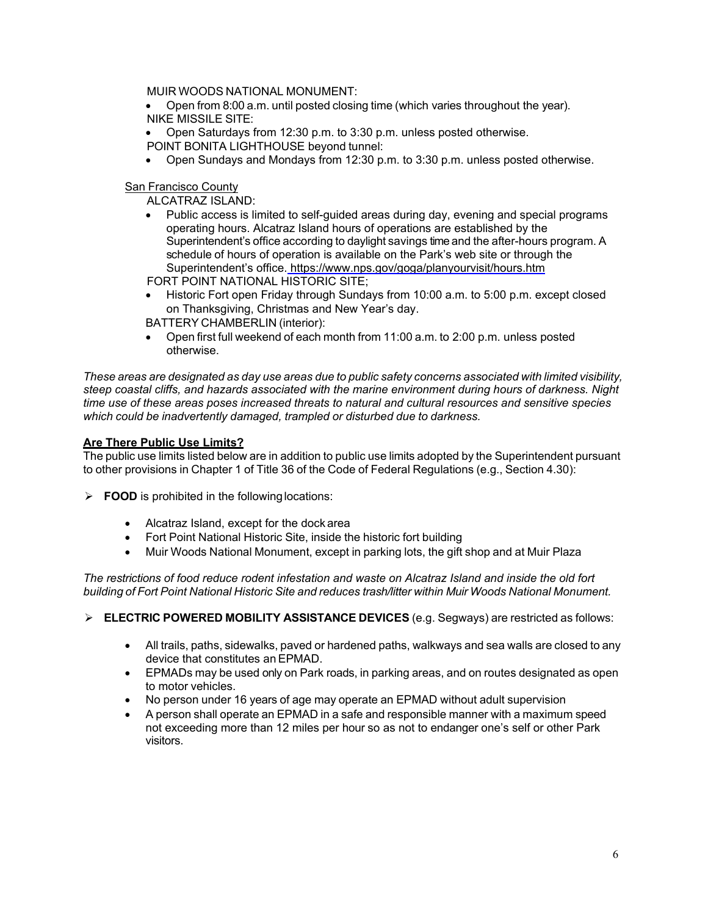MUIR WOODS NATIONAL MONUMENT:

- Open from 8:00 a.m. until posted closing time (which varies throughout the year). NIKE MISSILE SITE:
- Open Saturdays from 12:30 p.m. to 3:30 p.m. unless posted otherwise.
- POINT BONITA LIGHTHOUSE beyond tunnel:
- Open Sundays and Mondays from 12:30 p.m. to 3:30 p.m. unless posted otherwise.

## San Francisco County

ALCATRAZ ISLAND:

- Public access is limited to self-guided areas during day, evening and special programs operating hours. Alcatraz Island hours of operations are established by the Superintendent's office according to daylight savings time and the after-hours program. A schedule of hours of operation is available on the Park's web site or through the Superintendent's office. <https://www.nps.gov/goga/planyourvisit/hours.htm> FORT POINT NATIONAL HISTORIC SITE;
- Historic Fort open Friday through Sundays from 10:00 a.m. to 5:00 p.m. except closed on Thanksgiving, Christmas and New Year's day.
- BATTERY CHAMBERLIN (interior):
- Open first full weekend of each month from 11:00 a.m. to 2:00 p.m. unless posted otherwise.

These areas are designated as day use areas due to public safety concerns associated with limited visibility, *steep coastal cliffs, and hazards associated with the marine environment during hours of darkness. Night time use of these areas poses increased threats to natural and cultural resources and sensitive species which could be inadvertently damaged, trampled or disturbed due to darkness.*

# **Are There Public Use Limits?**

The public use limits listed below are in addition to public use limits adopted by the Superintendent pursuant to other provisions in Chapter 1 of Title 36 of the Code of Federal Regulations (e.g., Section 4.30):

- **FOOD** is prohibited in the following locations:
	- Alcatraz Island, except for the dockarea
	- Fort Point National Historic Site, inside the historic fort building
	- Muir Woods National Monument, except in parking lots, the gift shop and at Muir Plaza

*The restrictions of food reduce rodent infestation and waste on Alcatraz Island and inside the old fort building of Fort Point National Historic Site and reduces trash/litter within Muir Woods National Monument.*

**ELECTRIC POWERED MOBILITY ASSISTANCE DEVICES** (e.g. Segways) are restricted as follows:

- All trails, paths, sidewalks, paved or hardened paths, walkways and sea walls are closed to any device that constitutes an EPMAD.
- EPMADs may be used only on Park roads, in parking areas, and on routes designated as open to motor vehicles.
- No person under 16 years of age may operate an EPMAD without adult supervision
- A person shall operate an EPMAD in a safe and responsible manner with a maximum speed not exceeding more than 12 miles per hour so as not to endanger one's self or other Park visitors.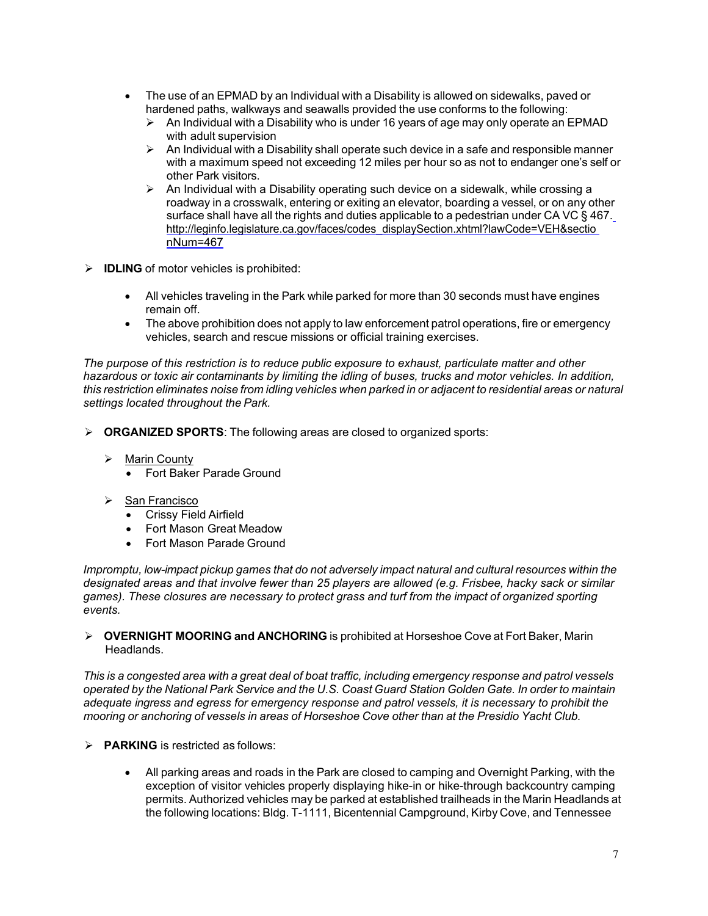- The use of an EPMAD by an Individual with a Disability is allowed on sidewalks, paved or hardened paths, walkways and seawalls provided the use conforms to the following:
	- $\triangleright$  An Individual with a Disability who is under 16 years of age may only operate an EPMAD with adult supervision
	- $\triangleright$  An Individual with a Disability shall operate such device in a safe and responsible manner with a maximum speed not exceeding 12 miles per hour so as not to endanger one's self or other Park visitors.
	- $\triangleright$  An Individual with a Disability operating such device on a sidewalk, while crossing a roadway in a crosswalk, entering or exiting an elevator, boarding a vessel, or on any other surface shall have all the rights and duties applicable to a pedestrian under CA VC § 467. [http://leginfo.legislature.ca.gov/faces/codes\\_displaySection.xhtml?lawCode=VEH&sectio](http://leginfo.legislature.ca.gov/faces/codes_displaySection.xhtml?lawCode=VEH&sectionNum=467) [nNum=467](http://leginfo.legislature.ca.gov/faces/codes_displaySection.xhtml?lawCode=VEH&sectionNum=467)
- **IDLING** of motor vehicles is prohibited:
	- All vehicles traveling in the Park while parked for more than 30 seconds must have engines remain off.
	- The above prohibition does not apply to law enforcement patrol operations, fire or emergency vehicles, search and rescue missions or official training exercises.

*The purpose of this restriction is to reduce public exposure to exhaust, particulate matter and other hazardous or toxic air contaminants by limiting the idling of buses, trucks and motor vehicles. In addition,*  this restriction eliminates noise from idling vehicles when parked in or adjacent to residential areas or natural *settings located throughout the Park.*

- **ORGANIZED SPORTS**: The following areas are closed to organized sports:
	- $\triangleright$  Marin County
		- Fort Baker Parade Ground
	- $\triangleright$  San Francisco
		- Crissy Field Airfield
		- Fort Mason Great Meadow
		- Fort Mason Parade Ground

*Impromptu, low-impact pickup games that do not adversely impact natural and cultural resources within the designated areas and that involve fewer than 25 players are allowed (e.g. Frisbee, hacky sack or similar games). These closures are necessary to protect grass and turf from the impact of organized sporting events.*

 **OVERNIGHT MOORING and ANCHORING** is prohibited at Horseshoe Cove at Fort Baker, Marin Headlands.

*This is a congested area with a great deal of boat traffic, including emergency response and patrol vessels*  operated by the National Park Service and the U.S. Coast Guard Station Golden Gate. In order to maintain *adequate ingress and egress for emergency response and patrol vessels, it is necessary to prohibit the mooring or anchoring of vessels in areas of Horseshoe Cove other than at the Presidio Yacht Club.*

- **PARKING** is restricted as follows:
	- All parking areas and roads in the Park are closed to camping and Overnight Parking, with the exception of visitor vehicles properly displaying hike-in or hike-through backcountry camping permits. Authorized vehicles may be parked at established trailheads in the Marin Headlands at the following locations: Bldg. T-1111, Bicentennial Campground, Kirby Cove, and Tennessee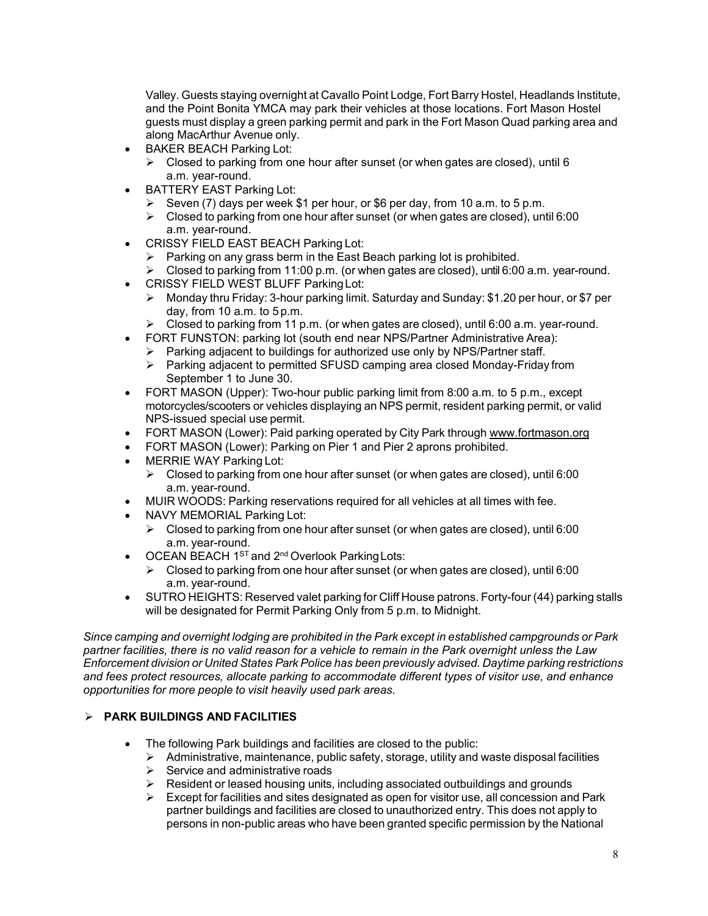Valley. Guests staying overnight at Cavallo Point Lodge, Fort Barry Hostel, Headlands Institute, and the Point Bonita YMCA may park their vehicles at those locations. Fort Mason Hostel guests must display a green parking permit and park in the Fort Mason Quad parking area and along MacArthur Avenue only.

- BAKER BEACH Parking Lot:
	- $\triangleright$  Closed to parking from one hour after sunset (or when gates are closed), until 6 a.m. year-round.
- BATTERY EAST Parking Lot:
	- Seven (7) days per week \$1 per hour, or \$6 per day, from 10 a.m. to 5 p.m.
	- $\triangleright$  Closed to parking from one hour after sunset (or when gates are closed), until 6:00 a.m. year-round.
- CRISSY FIELD EAST BEACH Parking Lot:
	- $\triangleright$  Parking on any grass berm in the East Beach parking lot is prohibited.
	- $\triangleright$  Closed to parking from 11:00 p.m. (or when gates are closed), until 6:00 a.m. year-round.
- CRISSY FIELD WEST BLUFF ParkingLot:
	- $\triangleright$  Monday thru Friday: 3-hour parking limit. Saturday and Sunday: \$1.20 per hour, or \$7 per day, from 10 a.m. to 5p.m.
	- $\triangleright$  Closed to parking from 11 p.m. (or when gates are closed), until 6:00 a.m. year-round.
- FORT FUNSTON: parking lot (south end near NPS/Partner Administrative Area):
	- $\triangleright$  Parking adjacent to buildings for authorized use only by NPS/Partner staff.<br>  $\triangleright$  Parking adjacent to permitted SFUSD camping area closed Mondav-Fridav
	- Parking adjacent to permitted SFUSD camping area closed Monday-Friday from September 1 to June 30.
- FORT MASON (Upper): Two-hour public parking limit from 8:00 a.m. to 5 p.m., except motorcycles/scooters or vehicles displaying an NPS permit, resident parking permit, or valid NPS-issued special use permit.
- FORT MASON (Lower): Paid parking operated by City Park through [www.fortmason.org](http://www.fortmason.org/)
- FORT MASON (Lower): Parking on Pier 1 and Pier 2 aprons prohibited.
- MERRIE WAY Parking Lot:
	- $\triangleright$  Closed to parking from one hour after sunset (or when gates are closed), until 6:00 a.m. year-round.
- MUIR WOODS: Parking reservations required for all vehicles at all times with fee.
- NAVY MEMORIAL Parking Lot:
	- $\triangleright$  Closed to parking from one hour after sunset (or when gates are closed), until 6:00 a.m. year-round.
- OCEAN BEACH 1<sup>st</sup> and 2<sup>nd</sup> Overlook Parking Lots:
	- $\triangleright$  Closed to parking from one hour after sunset (or when gates are closed), until 6:00 a.m. year-round.
- SUTRO HEIGHTS: Reserved valet parking for Cliff House patrons. Forty-four (44) parking stalls will be designated for Permit Parking Only from 5 p.m. to Midnight.

*Since camping and overnight lodging are prohibited in the Park except in established campgrounds or Park partner facilities, there is no valid reason for a vehicle to remain in the Park overnight unless the Law Enforcement division or United States Park Police has been previously advised. Daytime parking restrictions and fees protect resources, allocate parking to accommodate different types of visitor use, and enhance opportunities for more people to visit heavily used park areas.*

# **PARK BUILDINGS AND FACILITIES**

- The following Park buildings and facilities are closed to the public:
	- $\triangleright$  Administrative, maintenance, public safety, storage, utility and waste disposal facilities
	- $\triangleright$  Service and administrative roads
	- Resident or leased housing units, including associated outbuildings and grounds
	- $\triangleright$  Except for facilities and sites designated as open for visitor use, all concession and Park partner buildings and facilities are closed to unauthorized entry. This does not apply to persons in non-public areas who have been granted specific permission by the National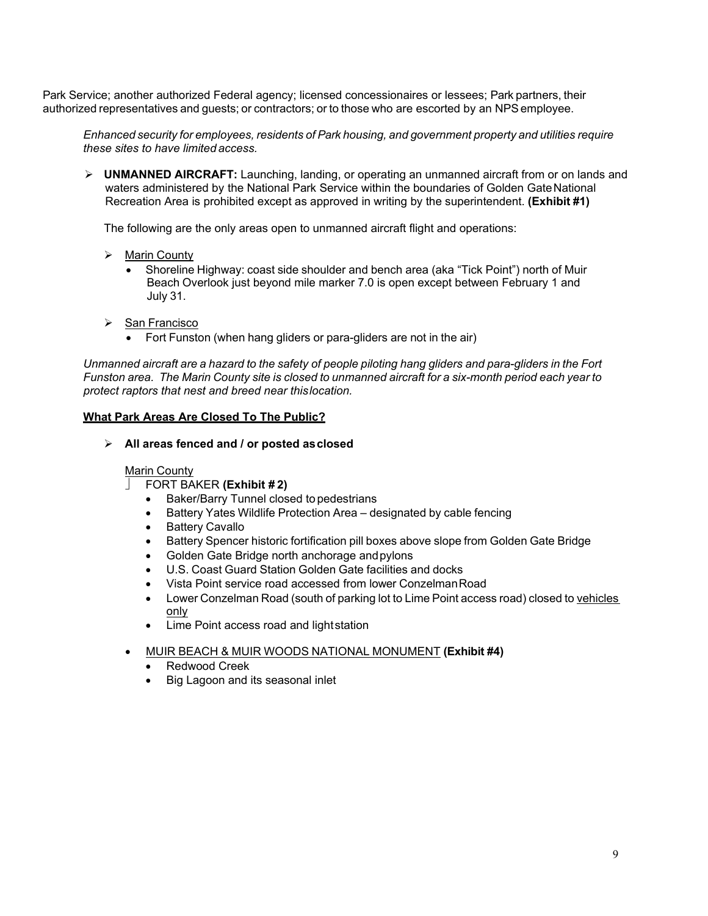Park Service; another authorized Federal agency; licensed concessionaires or lessees; Park partners, their authorized representatives and guests; or contractors; or to those who are escorted by an NPSemployee.

*Enhanced security for employees, residents of Park housing, and government property and utilities require these sites to have limited access.*

 **UNMANNED AIRCRAFT:** Launching, landing, or operating an unmanned aircraft from or on lands and waters administered by the National Park Service within the boundaries of Golden GateNational Recreation Area is prohibited except as approved in writing by the superintendent. **(Exhibit #1)**

The following are the only areas open to unmanned aircraft flight and operations:

- > Marin County
	- Shoreline Highway: coast side shoulder and bench area (aka "Tick Point") north of Muir Beach Overlook just beyond mile marker 7.0 is open except between February 1 and July 31.
- > San Francisco
	- Fort Funston (when hang gliders or para-gliders are not in the air)

*Unmanned aircraft are a hazard to the safety of people piloting hang gliders and para-gliders in the Fort Funston area. The Marin County site is closed to unmanned aircraft for a six-month period each year to protect raptors that nest and breed near thislocation.*

## **What Park Areas Are Closed To The Public?**

**All areas fenced and / or posted asclosed**

### Marin County

- FORT BAKER **(Exhibit # 2)**
	- Baker/Barry Tunnel closed topedestrians
	- Battery Yates Wildlife Protection Area designated by cable fencing
	- Battery Cavallo
	- Battery Spencer historic fortification pill boxes above slope from Golden Gate Bridge
	- Golden Gate Bridge north anchorage andpylons
	- U.S. Coast Guard Station Golden Gate facilities and docks
	- Vista Point service road accessed from lower ConzelmanRoad
	- Lower Conzelman Road (south of parking lot to Lime Point access road) closed to vehicles only
	- Lime Point access road and lightstation
- MUIR BEACH & MUIR WOODS NATIONAL MONUMENT **(Exhibit #4)**
	- Redwood Creek
	- Big Lagoon and its seasonal inlet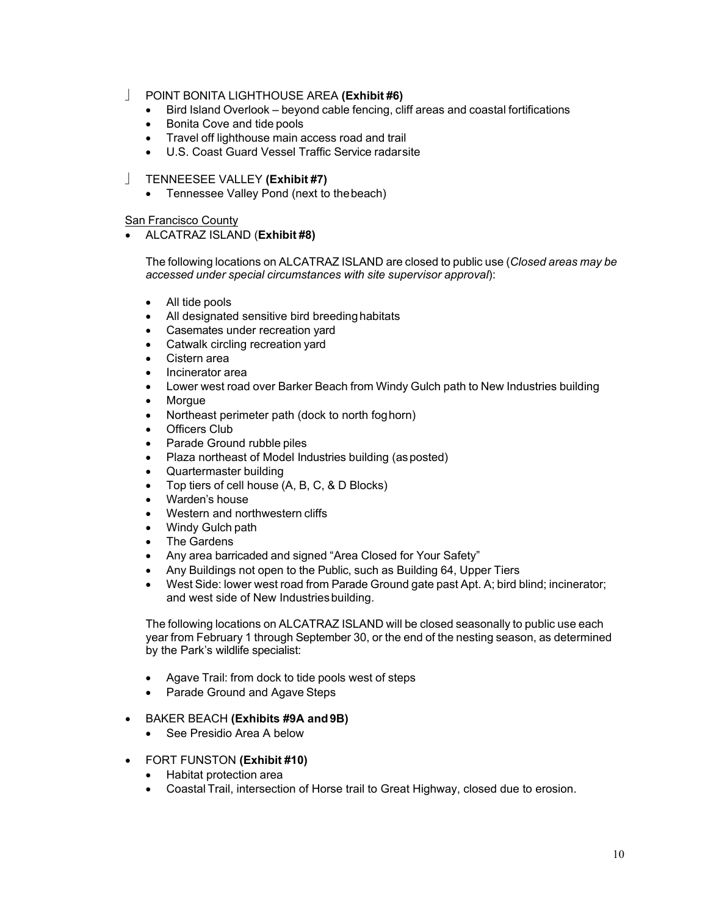- POINT BONITA LIGHTHOUSE AREA **(Exhibit #6)**
	- Bird Island Overlook beyond cable fencing, cliff areas and coastal fortifications
	- Bonita Cove and tide pools
	- Travel off lighthouse main access road and trail
	- U.S. Coast Guard Vessel Traffic Service radarsite
- TENNEESEE VALLEY **(Exhibit #7)**
	- Tennessee Valley Pond (next to thebeach)

San Francisco County

• ALCATRAZ ISLAND (**Exhibit #8)** 

The following locations on ALCATRAZ ISLAND are closed to public use (*Closed areas may be accessed under special circumstances with site supervisor approval*):

- All tide pools
- All designated sensitive bird breeding habitats
- Casemates under recreation yard
- Catwalk circling recreation yard
- Cistern area
- Incinerator area
- Lower west road over Barker Beach from Windy Gulch path to New Industries building
- Morgue
- Northeast perimeter path (dock to north foghorn)
- **Officers Club**
- Parade Ground rubble piles
- Plaza northeast of Model Industries building (asposted)
- Quartermaster building
- Top tiers of cell house (A, B, C, & D Blocks)
- Warden's house
- Western and northwestern cliffs
- Windy Gulch path
- The Gardens
- Any area barricaded and signed "Area Closed for Your Safety"
- Any Buildings not open to the Public, such as Building 64, Upper Tiers
- West Side: lower west road from Parade Ground gate past Apt. A; bird blind; incinerator; and west side of New Industries building.

The following locations on ALCATRAZ ISLAND will be closed seasonally to public use each year from February 1 through September 30, or the end of the nesting season, as determined by the Park's wildlife specialist:

- Agave Trail: from dock to tide pools west of steps
- Parade Ground and Agave Steps
- BAKER BEACH **(Exhibits #9A and9B)**
	- See Presidio Area A below
- FORT FUNSTON **(Exhibit #10)**
	- Habitat protection area
	- Coastal Trail, intersection of Horse trail to Great Highway, closed due to erosion.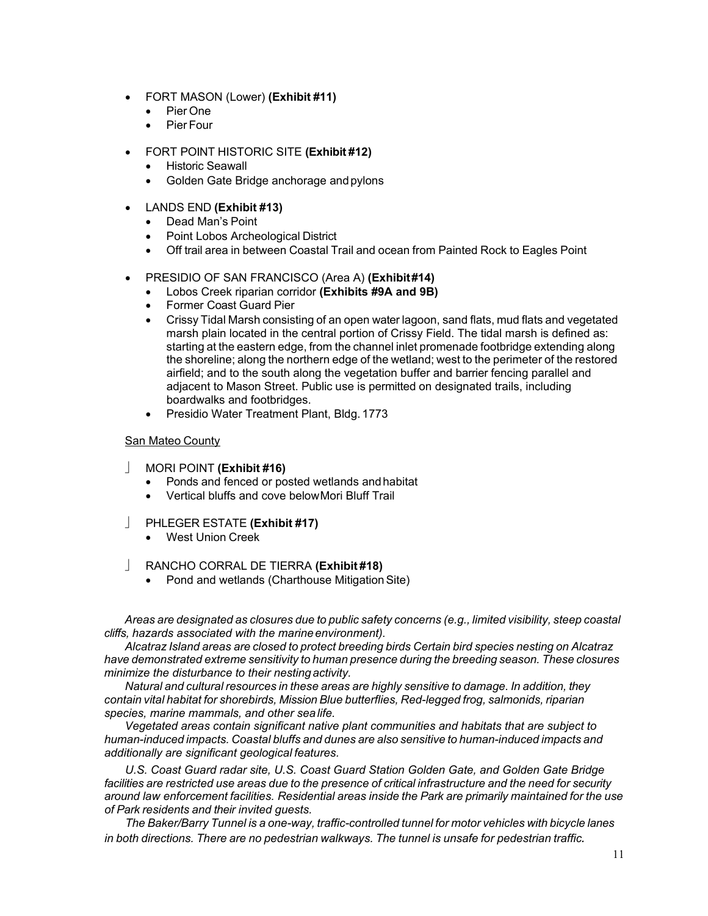- FORT MASON (Lower) **(Exhibit #11)**
	- Pier One
	- Pier Four
- FORT POINT HISTORIC SITE **(Exhibit #12)**
	- **Historic Seawall**
	- Golden Gate Bridge anchorage and pylons
- LANDS END **(Exhibit #13)**
	- Dead Man's Point
	- Point Lobos Archeological District
	- Off trail area in between Coastal Trail and ocean from Painted Rock to Eagles Point
- PRESIDIO OF SAN FRANCISCO (Area A) **(Exhibit#14)**
	- Lobos Creek riparian corridor **(Exhibits #9A and 9B)**
	- Former Coast Guard Pier
	- Crissy Tidal Marsh consisting of an open water lagoon, sand flats, mud flats and vegetated marsh plain located in the central portion of Crissy Field. The tidal marsh is defined as: starting at the eastern edge, from the channel inlet promenade footbridge extending along the shoreline; along the northern edge of the wetland; west to the perimeter of the restored airfield; and to the south along the vegetation buffer and barrier fencing parallel and adjacent to Mason Street. Public use is permitted on designated trails, including boardwalks and footbridges.
	- Presidio Water Treatment Plant, Bldg. 1773

### San Mateo County

- MORI POINT **(Exhibit #16)** 
	- Ponds and fenced or posted wetlands and habitat
	- Vertical bluffs and cove belowMori Bluff Trail
- PHLEGER ESTATE **(Exhibit #17)** 
	- West Union Creek
- RANCHO CORRAL DE TIERRA **(Exhibit #18)** 
	- Pond and wetlands (Charthouse Mitigation Site)

*Areas are designated as closures due to public safety concerns (e.g., limited visibility, steep coastal cliffs, hazards associated with the marineenvironment).*

*Alcatraz Island areas are closed to protect breeding birds Certain bird species nesting on Alcatraz have demonstrated extreme sensitivity to human presence during the breeding season. These closures minimize the disturbance to their nestingactivity.*

*Natural and cultural resources in these areas are highly sensitive to damage. In addition, they contain vital habitat for shorebirds, Mission Blue butterflies, Red-legged frog, salmonids, riparian species, marine mammals, and other sealife.*

*Vegetated areas contain significant native plant communities and habitats that are subject to human-induced impacts. Coastal bluffs and dunes are also sensitive to human-induced impacts and additionally are significant geological features.*

*U.S. Coast Guard radar site, U.S. Coast Guard Station Golden Gate, and Golden Gate Bridge*  facilities are restricted use areas due to the presence of critical infrastructure and the need for security *around law enforcement facilities. Residential areas inside the Park are primarily maintained for the use of Park residents and their invited guests.*

*The Baker/Barry Tunnel is a one-way, traffic-controlled tunnel for motor vehicles with bicycle lanes in both directions. There are no pedestrian walkways. The tunnel is unsafe for pedestrian traffic.*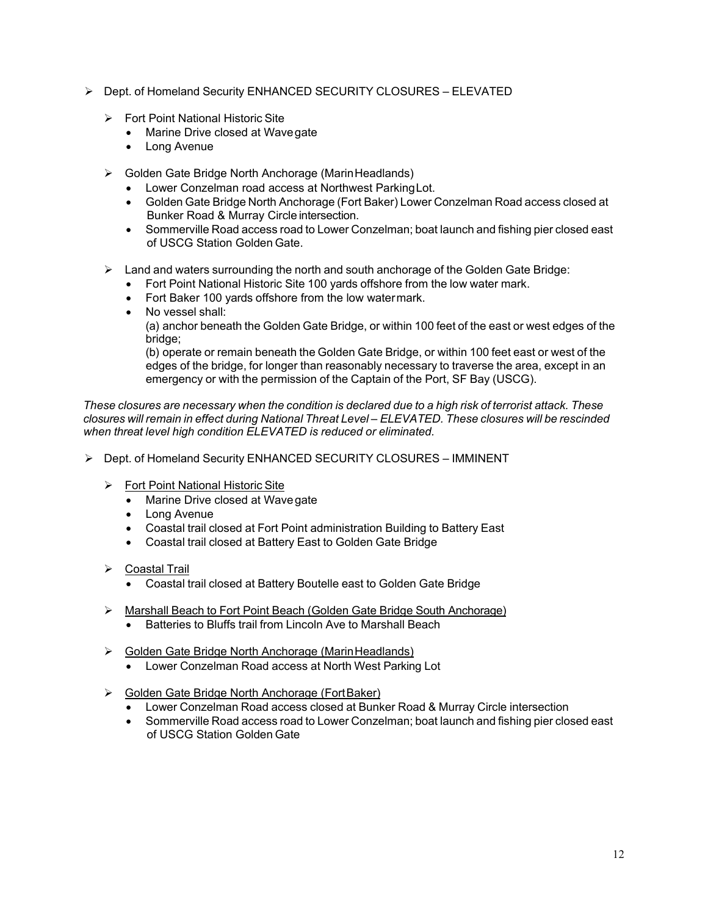- Dept. of Homeland Security ENHANCED SECURITY CLOSURES ELEVATED
	- Fort Point National Historic Site
		- Marine Drive closed at Wavegate
		- Long Avenue
	- ▶ Golden Gate Bridge North Anchorage (Marin Headlands)
		- Lower Conzelman road access at Northwest ParkingLot.
		- Golden Gate Bridge North Anchorage (Fort Baker) Lower Conzelman Road access closed at Bunker Road & Murray Circle intersection.
		- Sommerville Road access road to Lower Conzelman; boat launch and fishing pier closed east of USCG Station Golden Gate.
	- $\triangleright$  Land and waters surrounding the north and south anchorage of the Golden Gate Bridge:
		- Fort Point National Historic Site 100 yards offshore from the low water mark.
		- Fort Baker 100 yards offshore from the low watermark.
		- No vessel shall:

(a) anchor beneath the Golden Gate Bridge, or within 100 feet of the east or west edges of the bridge;

(b) operate or remain beneath the Golden Gate Bridge, or within 100 feet east or west of the edges of the bridge, for longer than reasonably necessary to traverse the area, except in an emergency or with the permission of the Captain of the Port, SF Bay (USCG).

*These closures are necessary when the condition is declared due to a high risk of terrorist attack. These closures will remain in effect during National Threat Level – ELEVATED. These closures will be rescinded when threat level high condition ELEVATED is reduced or eliminated.*

- Dept. of Homeland Security ENHANCED SECURITY CLOSURES IMMINENT
	- Fort Point National Historic Site
		- Marine Drive closed at Wavegate
		- Long Avenue
		- Coastal trail closed at Fort Point administration Building to Battery East
		- Coastal trail closed at Battery East to Golden Gate Bridge
	- Coastal Trail
		- Coastal trail closed at Battery Boutelle east to Golden Gate Bridge
	- Marshall Beach to Fort Point Beach (Golden Gate Bridge South Anchorage)
		- Batteries to Bluffs trail from Lincoln Ave to Marshall Beach
	- ▶ Golden Gate Bridge North Anchorage (Marin Headlands)
		- Lower Conzelman Road access at North West Parking Lot
	- Golden Gate Bridge North Anchorage (FortBaker)
		- Lower Conzelman Road access closed at Bunker Road & Murray Circle intersection
		- Sommerville Road access road to Lower Conzelman; boat launch and fishing pier closed east of USCG Station Golden Gate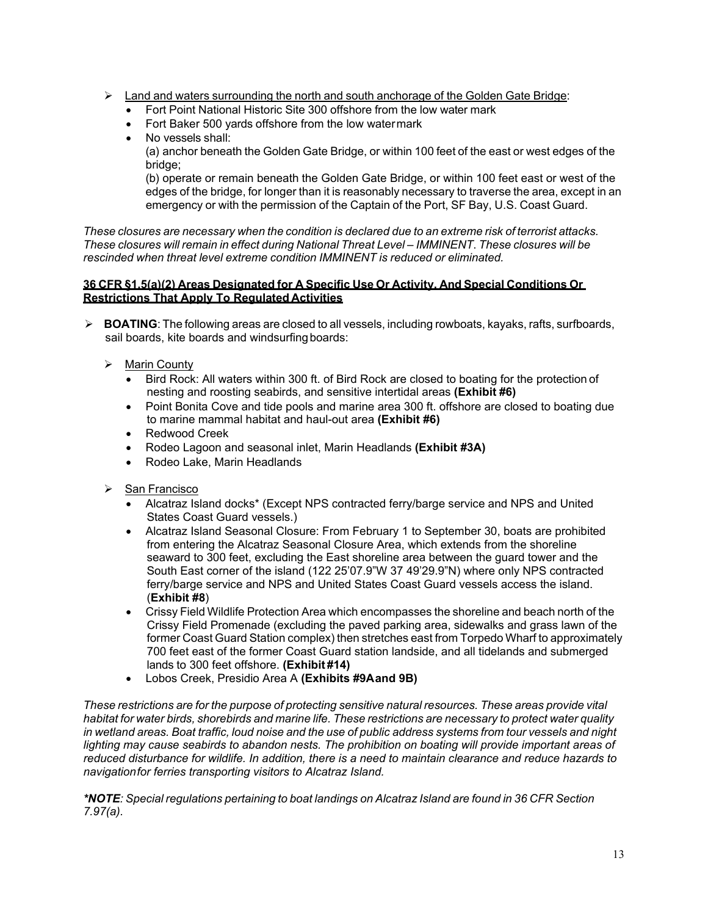- $\triangleright$  Land and waters surrounding the north and south anchorage of the Golden Gate Bridge:
	- Fort Point National Historic Site 300 offshore from the low water mark
	- Fort Baker 500 yards offshore from the low watermark
	- No vessels shall:

(a) anchor beneath the Golden Gate Bridge, or within 100 feet of the east or west edges of the bridge;

(b) operate or remain beneath the Golden Gate Bridge, or within 100 feet east or west of the edges of the bridge, for longer than it is reasonably necessary to traverse the area, except in an emergency or with the permission of the Captain of the Port, SF Bay, U.S. Coast Guard.

*These closures are necessary when the condition is declared due to an extreme risk of terrorist attacks. These closures will remain in effect during National Threat Level – IMMINENT*. *These closures will be rescinded when threat level extreme condition IMMINENT is reduced or eliminated.*

# **36 CFR §1.5(a)(2) Areas Designated for A Specific Use Or Activity, And Special Conditions Or Restrictions That Apply To Regulated Activities**

- **BOATING**: The following areas are closed to all vessels, including rowboats, kayaks, rafts, surfboards, sail boards, kite boards and windsurfing boards:
	- > Marin County
		- Bird Rock: All waters within 300 ft. of Bird Rock are closed to boating for the protection of nesting and roosting seabirds, and sensitive intertidal areas **(Exhibit #6)**
		- Point Bonita Cove and tide pools and marine area 300 ft. offshore are closed to boating due to marine mammal habitat and haul-out area **(Exhibit #6)**
		- Redwood Creek
		- Rodeo Lagoon and seasonal inlet, Marin Headlands **(Exhibit #3A)**
		- Rodeo Lake, Marin Headlands
	- > San Francisco
		- Alcatraz Island docks\* (Except NPS contracted ferry/barge service and NPS and United States Coast Guard vessels.)
		- Alcatraz Island Seasonal Closure: From February 1 to September 30, boats are prohibited from entering the Alcatraz Seasonal Closure Area, which extends from the shoreline seaward to 300 feet, excluding the East shoreline area between the guard tower and the South East corner of the island (122 25'07.9"W 37 49'29.9"N) where only NPS contracted ferry/barge service and NPS and United States Coast Guard vessels access the island. (**Exhibit #8**)
		- Crissy Field Wildlife Protection Area which encompasses the shoreline and beach north of the Crissy Field Promenade (excluding the paved parking area, sidewalks and grass lawn of the former Coast Guard Station complex) then stretches east from Torpedo Wharf to approximately 700 feet east of the former Coast Guard station landside, and all tidelands and submerged lands to 300 feet offshore. **(Exhibit #14)**
		- Lobos Creek, Presidio Area A **(Exhibits #9Aand 9B)**

*These restrictions are for the purpose of protecting sensitive natural resources. These areas provide vital habitat for water birds, shorebirds and marine life. These restrictions are necessary to protect water quality*  in wetland areas. Boat traffic, loud noise and the use of public address systems from tour vessels and night *lighting may cause seabirds to abandon nests. The prohibition on boating will provide important areas of reduced disturbance for wildlife. In addition, there is a need to maintain clearance and reduce hazards to navigationfor ferries transporting visitors to Alcatraz Island.*

*\*NOTE: Special regulations pertaining to boat landings on Alcatraz Island are found in 36 CFR Section 7.97(a).*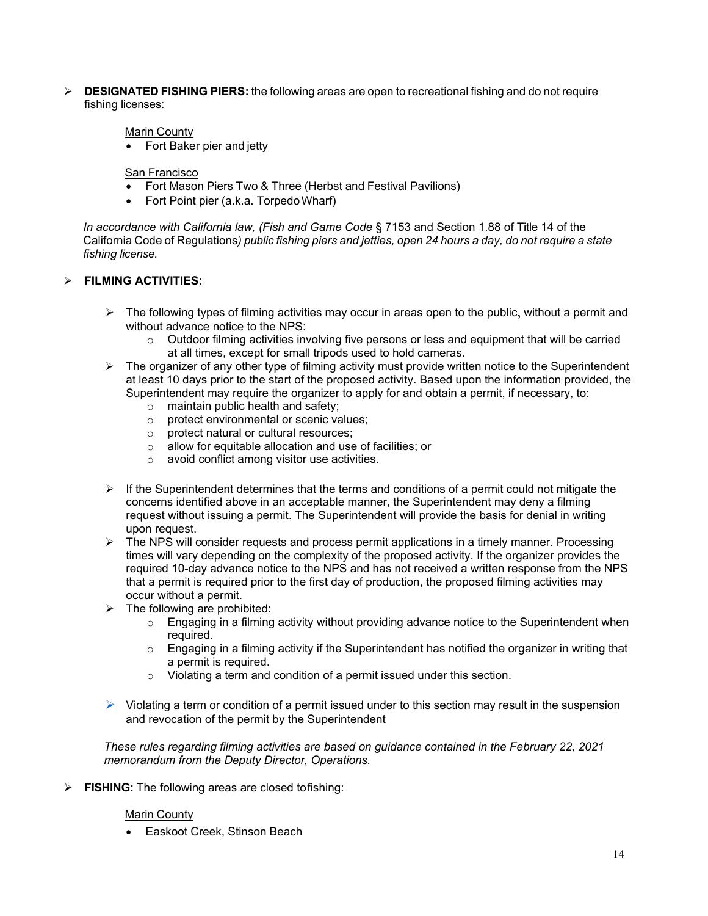**DESIGNATED FISHING PIERS:** the following areas are open to recreational fishing and do not require fishing licenses:

## Marin County

• Fort Baker pier and jetty

### San Francisco

- Fort Mason Piers Two & Three (Herbst and Festival Pavilions)
- Fort Point pier (a.k.a. Torpedo Wharf)

*In accordance with California law, (Fish and Game Code* § 7153 and Section 1.88 of Title 14 of the California Code of Regulations*) public fishing piers and jetties, open 24 hours a day, do not require a state fishing license.*

# **FILMING ACTIVITIES**:

- $\triangleright$  The following types of filming activities may occur in areas open to the public, without a permit and without advance notice to the NPS:
	- $\circ$  Outdoor filming activities involving five persons or less and equipment that will be carried at all times, except for small tripods used to hold cameras.
- $\triangleright$  The organizer of any other type of filming activity must provide written notice to the Superintendent at least 10 days prior to the start of the proposed activity. Based upon the information provided, the Superintendent may require the organizer to apply for and obtain a permit, if necessary, to:
	- o maintain public health and safety;
	- protect environmental or scenic values;<br>○ protect natural or cultural resources;
	- $\circ$  protect natural or cultural resources;<br>  $\circ$  allow for equitable allocation and use
	- $\circ$  allow for equitable allocation and use of facilities; or  $\circ$  avoid conflict among visitor use activities.
	- avoid conflict among visitor use activities.
- $\triangleright$  If the Superintendent determines that the terms and conditions of a permit could not mitigate the concerns identified above in an acceptable manner, the Superintendent may deny a filming request without issuing a permit. The Superintendent will provide the basis for denial in writing upon request.
- $\triangleright$  The NPS will consider requests and process permit applications in a timely manner. Processing times will vary depending on the complexity of the proposed activity. If the organizer provides the required 10-day advance notice to the NPS and has not received a written response from the NPS that a permit is required prior to the first day of production, the proposed filming activities may occur without a permit.
- $\triangleright$  The following are prohibited:
	- $\circ$  Engaging in a filming activity without providing advance notice to the Superintendent when required.
	- o Engaging in a filming activity if the Superintendent has notified the organizer in writing that a permit is required.
	- o Violating a term and condition of a permit issued under this section.
- $\triangleright$  Violating a term or condition of a permit issued under to this section may result in the suspension and revocation of the permit by the Superintendent

*These rules regarding filming activities are based on guidance contained in the February 22, 2021 memorandum from the Deputy Director, Operations.*

**FISHING:** The following areas are closed tofishing:

### Marin County

• Easkoot Creek, Stinson Beach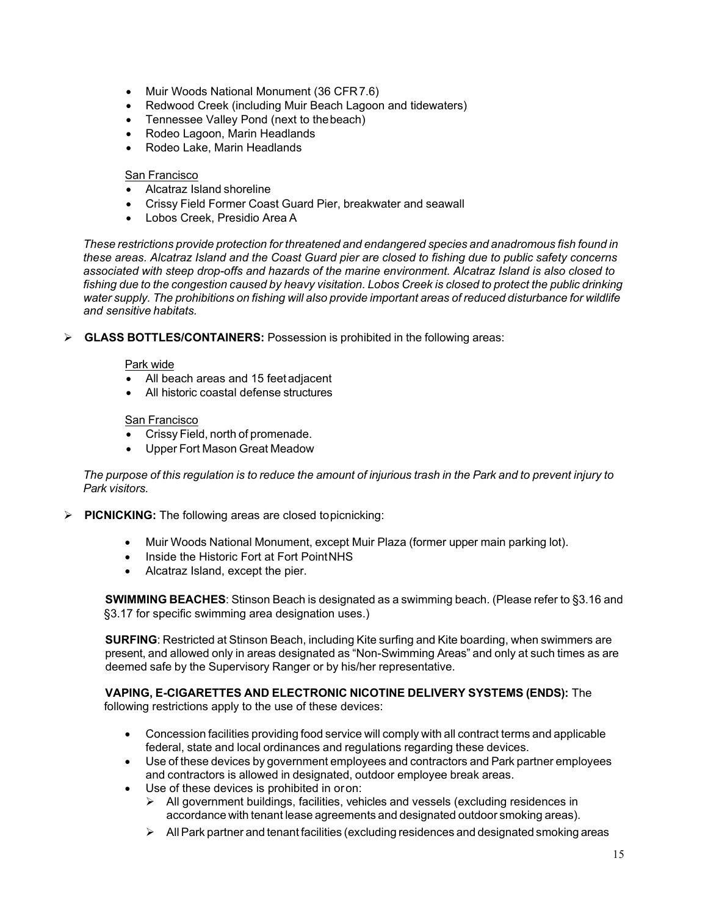- Muir Woods National Monument (36 CFR7.6)
- Redwood Creek (including Muir Beach Lagoon and tidewaters)
- Tennessee Valley Pond (next to thebeach)
- Rodeo Lagoon, Marin Headlands
- Rodeo Lake, Marin Headlands

#### San Francisco

- Alcatraz Island shoreline
- Crissy Field Former Coast Guard Pier, breakwater and seawall
- Lobos Creek, Presidio Area A

*These restrictions provide protection for threatened and endangered species and anadromous fish found in these areas. Alcatraz Island and the Coast Guard pier are closed to fishing due to public safety concerns associated with steep drop-offs and hazards of the marine environment. Alcatraz Island is also closed to*  fishing due to the congestion caused by heavy visitation. Lobos Creek is closed to protect the public drinking *water supply. The prohibitions on fishing will also provide important areas of reduced disturbance for wildlife and sensitive habitats.*

**GLASS BOTTLES/CONTAINERS:** Possession is prohibited in the following areas:

### Park wide

- All beach areas and 15 feetadjacent
- All historic coastal defense structures

### San Francisco

- Crissy Field, north of promenade.
- Upper Fort Mason Great Meadow

The purpose of this regulation is to reduce the amount of injurious trash in the Park and to prevent injury to *Park visitors.*

**PICNICKING:** The following areas are closed topicnicking:

- Muir Woods National Monument, except Muir Plaza (former upper main parking lot).
- Inside the Historic Fort at Fort PointNHS
- Alcatraz Island, except the pier.

**SWIMMING BEACHES**: Stinson Beach is designated as a swimming beach. (Please refer to §3.16 and §3.17 for specific swimming area designation uses.)

**SURFING**: Restricted at Stinson Beach, including Kite surfing and Kite boarding, when swimmers are present, and allowed only in areas designated as "Non-Swimming Areas" and only at such times as are deemed safe by the Supervisory Ranger or by his/her representative.

**VAPING, E-CIGARETTES AND ELECTRONIC NICOTINE DELIVERY SYSTEMS (ENDS):** The following restrictions apply to the use of these devices:

- Concession facilities providing food service will comply with all contract terms and applicable federal, state and local ordinances and regulations regarding these devices.
- Use of these devices by government employees and contractors and Park partner employees and contractors is allowed in designated, outdoor employee break areas.
- Use of these devices is prohibited in oron:
	- $\triangleright$  All government buildings, facilities, vehicles and vessels (excluding residences in accordance with tenant lease agreements and designated outdoor smoking areas).
	- $\triangleright$  All Park partner and tenant facilities (excluding residences and designated smoking areas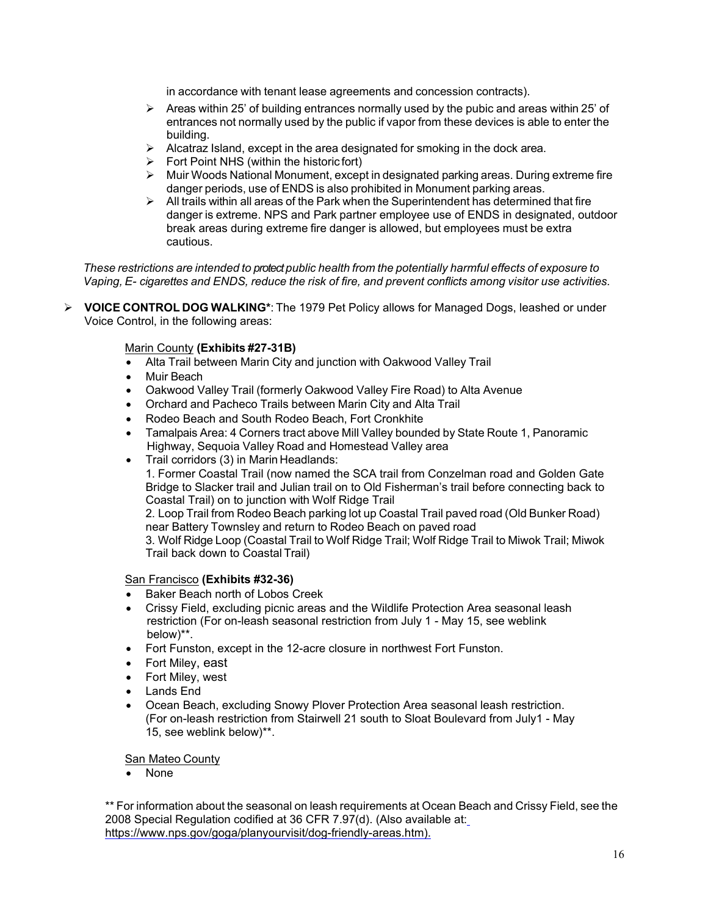in accordance with tenant lease agreements and concession contracts).

- $\triangleright$  Areas within 25' of building entrances normally used by the pubic and areas within 25' of entrances not normally used by the public if vapor from these devices is able to enter the building.
- $\triangleright$  Alcatraz Island, except in the area designated for smoking in the dock area.
- $\triangleright$  Fort Point NHS (within the historic fort)
- $\triangleright$  Muir Woods National Monument, except in designated parking areas. During extreme fire danger periods, use of ENDS is also prohibited in Monument parking areas.
- $\triangleright$  All trails within all areas of the Park when the Superintendent has determined that fire danger is extreme. NPS and Park partner employee use of ENDS in designated, outdoor break areas during extreme fire danger is allowed, but employees must be extra cautious.

*These restrictions are intended to protect public health from the potentially harmful effects of exposure to Vaping, E- cigarettes and ENDS, reduce the risk of fire, and prevent conflicts among visitor use activities.*

 **VOICE CONTROL DOG WALKING\***: The 1979 Pet Policy allows for Managed Dogs, leashed or under Voice Control, in the following areas:

## Marin County **(Exhibits #27-31B)**

- Alta Trail between Marin City and junction with Oakwood Valley Trail
- Muir Beach
- Oakwood Valley Trail (formerly Oakwood Valley Fire Road) to Alta Avenue
- Orchard and Pacheco Trails between Marin City and Alta Trail
- Rodeo Beach and South Rodeo Beach, Fort Cronkhite
- Tamalpais Area: 4 Corners tract above Mill Valley bounded by State Route 1, Panoramic Highway, Sequoia Valley Road and Homestead Valley area
- Trail corridors (3) in Marin Headlands:

1. Former Coastal Trail (now named the SCA trail from Conzelman road and Golden Gate Bridge to Slacker trail and Julian trail on to Old Fisherman's trail before connecting back to Coastal Trail) on to junction with Wolf Ridge Trail

2. Loop Trail from Rodeo Beach parking lot up Coastal Trail paved road (Old Bunker Road) near Battery Townsley and return to Rodeo Beach on paved road

3. Wolf Ridge Loop (Coastal Trail to Wolf Ridge Trail; Wolf Ridge Trail to Miwok Trail; Miwok Trail back down to Coastal Trail)

### San Francisco **(Exhibits #32-36)**

- Baker Beach north of Lobos Creek
- Crissy Field, excluding picnic areas and the Wildlife Protection Area seasonal leash restriction (For on-leash seasonal restriction from July 1 - May 15, see weblink below)\*\*.
- Fort Funston, except in the 12-acre closure in northwest Fort Funston.
- Fort Miley, east
- Fort Miley, west
- Lands End
- Ocean Beach, excluding Snowy Plover Protection Area seasonal leash restriction. (For on-leash restriction from Stairwell 21 south to Sloat Boulevard from July1 - May 15, see weblink below)\*\*.

San Mateo County

• None

\*\* For information about the seasonal on leash requirements at Ocean Beach and Crissy Field, see the 2008 Special Regulation codified at 36 CFR 7.97(d). (Also available at[:](https://www.nps.gov/goga/planyourvisit/dog-friendly-areas.htm) [https://www.nps.gov/goga/planyourvisit/dog-friendly-areas.htm\)](https://www.nps.gov/goga/planyourvisit/dog-friendly-areas.htm).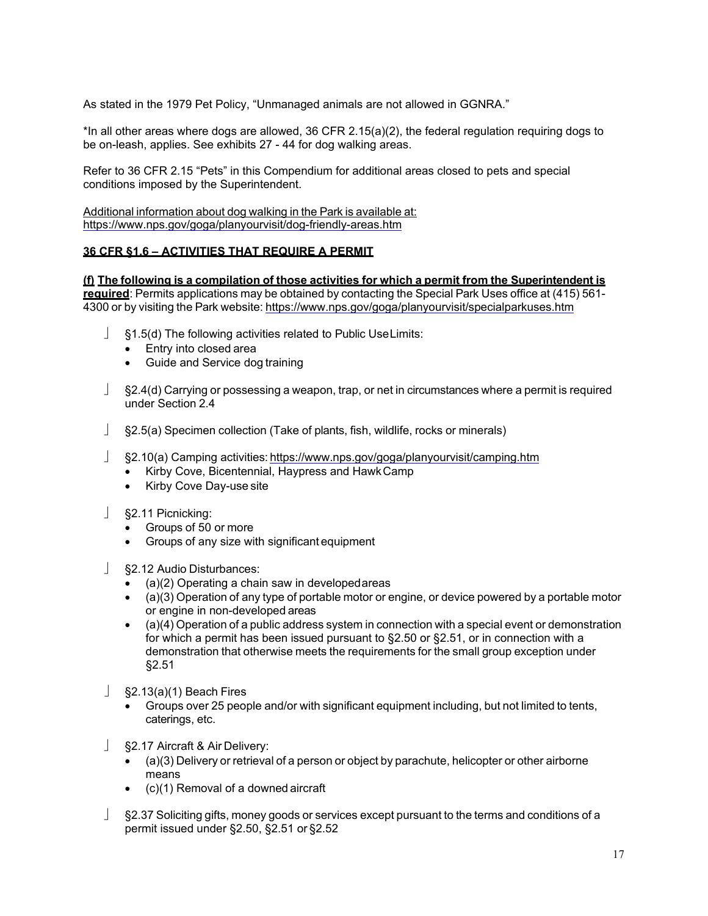As stated in the 1979 Pet Policy, "Unmanaged animals are not allowed in GGNRA."

\*In all other areas where dogs are allowed, 36 CFR 2.15(a)(2), the federal regulation requiring dogs to be on-leash, applies. See exhibits 27 - 44 for dog walking areas.

Refer to 36 CFR 2.15 "Pets" in this Compendium for additional areas closed to pets and special conditions imposed by the Superintendent.

Additional information about dog walking in the Park is available at: <https://www.nps.gov/goga/planyourvisit/dog-friendly-areas.htm>

## **36 CFR §1.6 – ACTIVITIES THAT REQUIRE A PERMIT**

**(f) The following is a compilation of those activities for which a permit from the Superintendent is required**: Permits applications may be obtained by contacting the Special Park Uses office at (415) 561- 4300 or by visiting the Park website: <https://www.nps.gov/goga/planyourvisit/specialparkuses.htm>

- §1.5(d) The following activities related to Public UseLimits:
	- Entry into closed area
	- Guide and Service dog training
- §2.4(d) Carrying or possessing a weapon, trap, or net in circumstances where a permit is required under Section 2.4
- §2.5(a) Specimen collection (Take of plants, fish, wildlife, rocks or minerals)
- §2.10(a) Camping activities: <https://www.nps.gov/goga/planyourvisit/camping.htm>
	- Kirby Cove, Bicentennial, Haypress and HawkCamp
	- Kirby Cove Day-use site
- §2.11 Picnicking:
	- Groups of 50 or more
	- Groups of any size with significant equipment
- §2.12 Audio Disturbances:
	- (a)(2) Operating a chain saw in developedareas
	- (a)(3) Operation of any type of portable motor or engine, or device powered by a portable motor or engine in non-developed areas
	- (a)(4) Operation of a public address system in connection with a special event or demonstration for which a permit has been issued pursuant to §2.50 or §2.51, or in connection with a demonstration that otherwise meets the requirements for the small group exception under §2.51
- $\frac{1}{2}$  §2.13(a)(1) Beach Fires
	- Groups over 25 people and/or with significant equipment including, but not limited to tents, caterings, etc.
- §2.17 Aircraft & Air Delivery:
	- (a)(3) Delivery or retrieval of a person or object by parachute, helicopter or other airborne means
	- (c)(1) Removal of a downed aircraft
- §2.37 Soliciting gifts, money goods or services except pursuant to the terms and conditions of a permit issued under §2.50, §2.51 or §2.52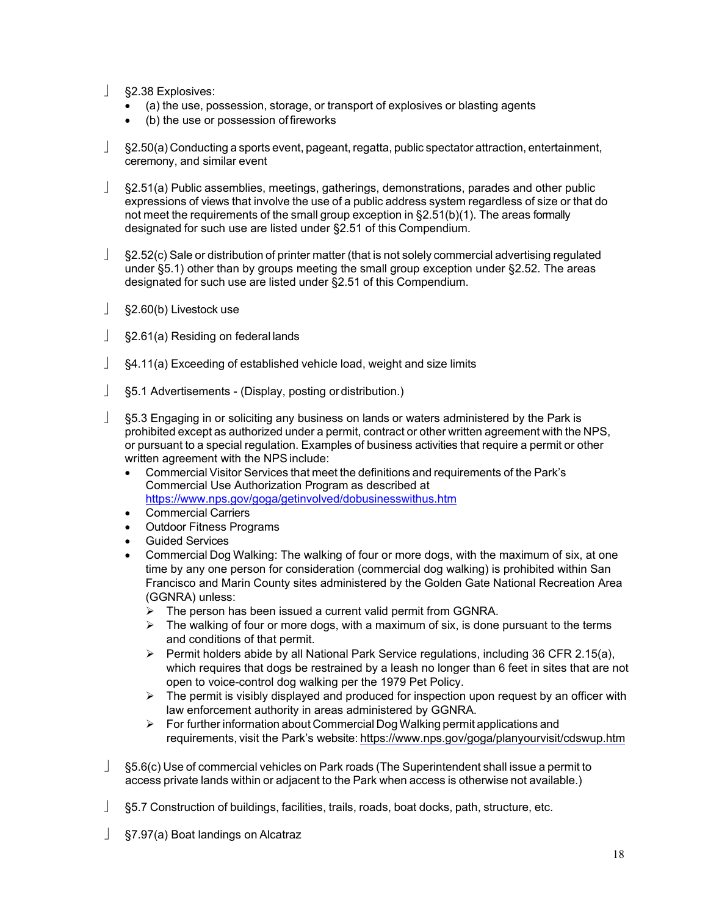- §2.38 Explosives:
	- (a) the use, possession, storage, or transport of explosives or blasting agents
	- (b) the use or possession of fireworks
- §2.50(a) Conducting a sports event, pageant, regatta, public spectator attraction, entertainment, ceremony, and similar event
- §2.51(a) Public assemblies, meetings, gatherings, demonstrations, parades and other public expressions of views that involve the use of a public address system regardless of size or that do not meet the requirements of the small group exception in §2.51(b)(1). The areas formally designated for such use are listed under §2.51 of this Compendium.
- $\angle$  §2.52(c) Sale or distribution of printer matter (that is not solely commercial advertising regulated under §5.1) other than by groups meeting the small group exception under §2.52. The areas designated for such use are listed under §2.51 of this Compendium.
- §2.60(b) Livestock use
- §2.61(a) Residing on federal lands
- §4.11(a) Exceeding of established vehicle load, weight and size limits
- §5.1 Advertisements (Display, posting ordistribution.)
- §5.3 Engaging in or soliciting any business on lands or waters administered by the Park is prohibited except as authorized under a permit, contract or other written agreement with the NPS, or pursuant to a special regulation. Examples of business activities that require a permit or other written agreement with the NPS include:
	- Commercial Visitor Services that meet the definitions and requirements of the Park's Commercial Use Authorization Program as described at <https://www.nps.gov/goga/getinvolved/dobusinesswithus.htm>
	- Commercial Carriers
	- Outdoor Fitness Programs
	- Guided Services
	- Commercial Dog Walking: The walking of four or more dogs, with the maximum of six, at one time by any one person for consideration (commercial dog walking) is prohibited within San Francisco and Marin County sites administered by the Golden Gate National Recreation Area (GGNRA) unless:
		- $\triangleright$  The person has been issued a current valid permit from GGNRA.
		- $\triangleright$  The walking of four or more dogs, with a maximum of six, is done pursuant to the terms and conditions of that permit.
		- $\triangleright$  Permit holders abide by all National Park Service regulations, including 36 CFR 2.15(a), which requires that dogs be restrained by a leash no longer than 6 feet in sites that are not open to voice-control dog walking per the 1979 Pet Policy.
		- $\triangleright$  The permit is visibly displayed and produced for inspection upon request by an officer with law enforcement authority in areas administered by GGNRA.
		- For further information about Commercial Dog Walking permit applications and requirements, visit the Park's website: <https://www.nps.gov/goga/planyourvisit/cdswup.htm>
- §5.6(c) Use of commercial vehicles on Park roads (The Superintendent shall issue a permit to access private lands within or adjacent to the Park when access is otherwise not available.)
- §5.7 Construction of buildings, facilities, trails, roads, boat docks, path, structure, etc.
- §7.97(a) Boat landings on Alcatraz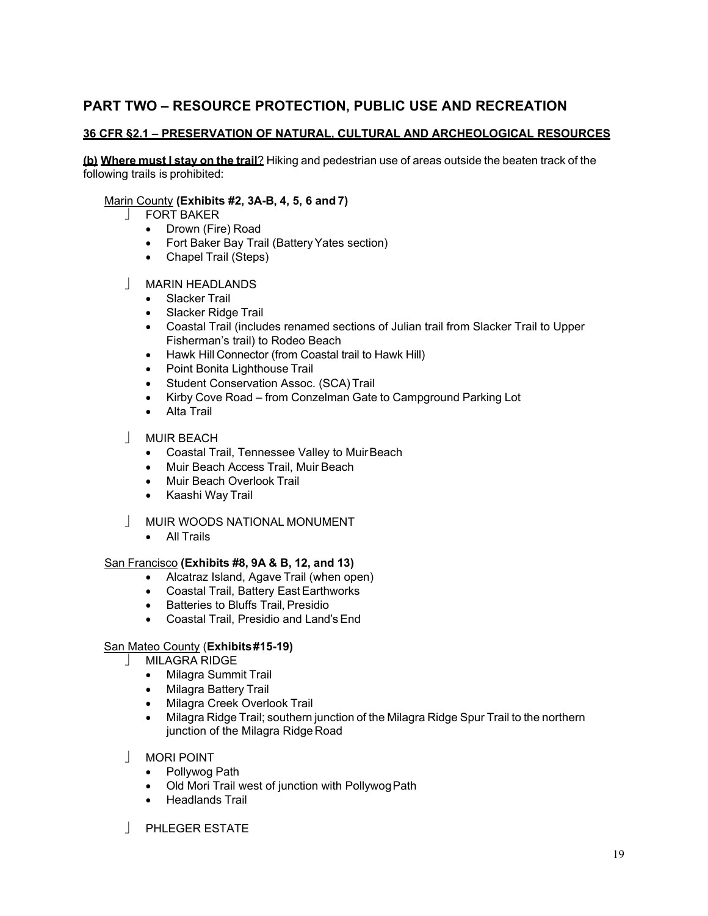# **PART TWO – RESOURCE PROTECTION, PUBLIC USE AND RECREATION**

# **36 CFR §2.1 – PRESERVATION OF NATURAL, CULTURAL AND ARCHEOLOGICAL RESOURCES**

**(b) Where must I stay on the trail**? Hiking and pedestrian use of areas outside the beaten track of the following trails is prohibited:

# Marin County **(Exhibits #2, 3A-B, 4, 5, 6 and 7)**

- **FORT BAKER** 
	- Drown (Fire) Road
	- Fort Baker Bay Trail (Battery Yates section)
	- Chapel Trail (Steps)

## MARIN HEADLANDS

- Slacker Trail
- Slacker Ridge Trail
- Coastal Trail (includes renamed sections of Julian trail from Slacker Trail to Upper Fisherman's trail) to Rodeo Beach
- Hawk Hill Connector (from Coastal trail to Hawk Hill)
- Point Bonita Lighthouse Trail
- Student Conservation Assoc. (SCA) Trail
- Kirby Cove Road from Conzelman Gate to Campground Parking Lot
- Alta Trail
- MUIR BEACH
	- Coastal Trail, Tennessee Valley to MuirBeach
	- Muir Beach Access Trail, Muir Beach
	- Muir Beach Overlook Trail
	- Kaashi Way Trail
- MUIR WOODS NATIONAL MONUMENT
	- All Trails

### San Francisco **(Exhibits #8, 9A & B, 12, and 13)**

- Alcatraz Island, Agave Trail (when open)
- Coastal Trail, Battery East Earthworks
- Batteries to Bluffs Trail, Presidio
- Coastal Trail, Presidio and Land'sEnd

# San Mateo County (**Exhibits#15-19)**

- MILAGRA RIDGE
	- Milagra Summit Trail
	- Milagra Battery Trail
	- Milagra Creek Overlook Trail
	- Milagra Ridge Trail; southern junction of the Milagra Ridge Spur Trail to the northern junction of the Milagra Ridge Road
- MORI POINT
	- Pollywog Path
	- Old Mori Trail west of junction with PollywogPath
	- Headlands Trail
- **PHLEGER ESTATE**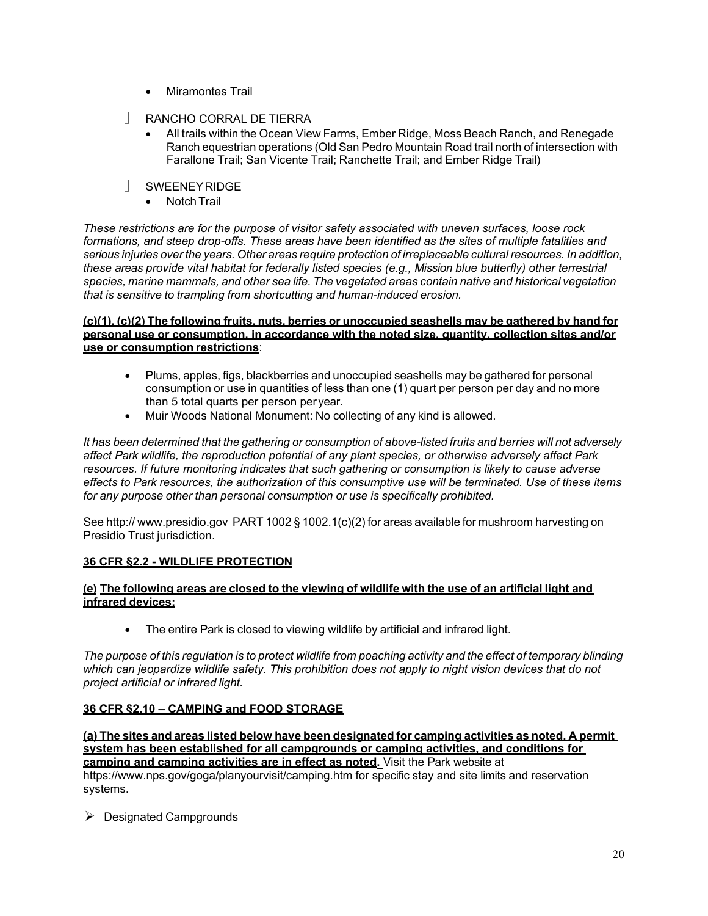- Miramontes Trail
- RANCHO CORRAL DE TIERRA
	- All trails within the Ocean View Farms, Ember Ridge, Moss Beach Ranch, and Renegade Ranch equestrian operations (Old San Pedro Mountain Road trail north of intersection with Farallone Trail; San Vicente Trail; Ranchette Trail; and Ember Ridge Trail)
- SWEENEYRIDGE
	- Notch Trail

*These restrictions are for the purpose of visitor safety associated with uneven surfaces, loose rock formations, and steep drop-offs. These areas have been identified as the sites of multiple fatalities and serious injuries over the years. Other areas require protection of irreplaceable cultural resources. In addition, these areas provide vital habitat for federally listed species (e.g., Mission blue butterfly) other terrestrial species, marine mammals, and other sea life. The vegetated areas contain native and historical vegetation that is sensitive to trampling from shortcutting and human-induced erosion.*

### **(c)(1), (c)(2) The following fruits, nuts, berries or unoccupied seashells may be gathered by hand for personal use or consumption, in accordance with the noted size, quantity, collection sites and/or use or consumption restrictions**:

- Plums, apples, figs, blackberries and unoccupied seashells may be gathered for personal consumption or use in quantities of less than one (1) quart per person per day and no more than 5 total quarts per person peryear.
- Muir Woods National Monument: No collecting of any kind is allowed.

It has been determined that the gathering or consumption of above-listed fruits and berries will not adversely *affect Park wildlife, the reproduction potential of any plant species, or otherwise adversely affect Park resources. If future monitoring indicates that such gathering or consumption is likely to cause adverse effects to Park resources, the authorization of this consumptive use will be terminated. Use of these items for any purpose other than personal consumption or use is specifically prohibited.*

See http:// [www.presidio.gov](http://www.presidio.gov/) PART 1002 § 1002.1(c)(2) for areas available for mushroom harvesting on Presidio Trust jurisdiction.

# **36 CFR §2.2 - WILDLIFE PROTECTION**

## **(e) The following areas are closed to the viewing of wildlife with the use of an artificial light and infrared devices:**

• The entire Park is closed to viewing wildlife by artificial and infrared light.

The purpose of this regulation is to protect wildlife from poaching activity and the effect of temporary blinding which can jeopardize wildlife safety. This prohibition does not apply to night vision devices that do not *project artificial or infrared light.*

# **36 CFR §2.10 – CAMPING and FOOD STORAGE**

**(a) The sites and areas listed below have been designated for camping activities as noted. A permit system has been established for all campgrounds or camping activities, an[d conditions for](https://www.nps.gov/goga/planyourvisit/camping.htm)  camping and camping activities are in effect as noted.** Visit the Park website at [https://www.nps.gov/goga/planyourvisit/camping.htm f](https://www.nps.gov/goga/planyourvisit/camping.htm)or specific stay and site limits and reservation systems.

 $\triangleright$  Designated Campgrounds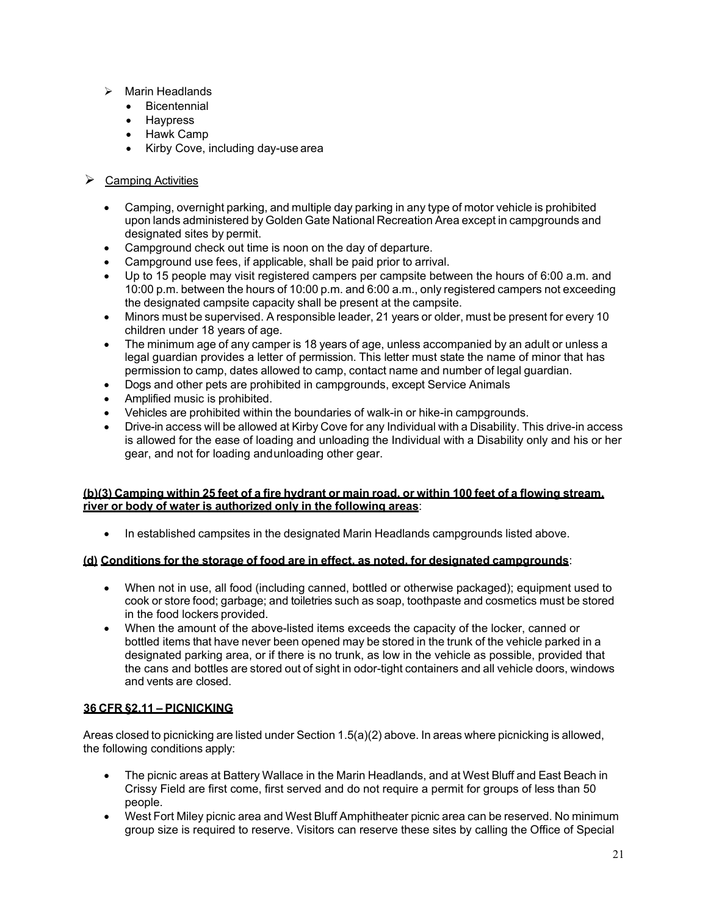- $\triangleright$  Marin Headlands
	- Bicentennial
	- Haypress
	- Hawk Camp
	- Kirby Cove, including day-use area
- $\triangleright$  Camping Activities
	- Camping, overnight parking, and multiple day parking in any type of motor vehicle is prohibited upon lands administered by Golden Gate National Recreation Area except in campgrounds and designated sites by permit.
	- Campground check out time is noon on the day of departure.
	- Campground use fees, if applicable, shall be paid prior to arrival.
	- Up to 15 people may visit registered campers per campsite between the hours of 6:00 a.m. and 10:00 p.m. between the hours of 10:00 p.m. and 6:00 a.m., only registered campers not exceeding the designated campsite capacity shall be present at the campsite.
	- Minors must be supervised. A responsible leader, 21 years or older, must be present for every 10 children under 18 years of age.
	- The minimum age of any camper is 18 years of age, unless accompanied by an adult or unless a legal guardian provides a letter of permission. This letter must state the name of minor that has permission to camp, dates allowed to camp, contact name and number of legal guardian.
	- Dogs and other pets are prohibited in campgrounds, except Service Animals
	- Amplified music is prohibited.
	- Vehicles are prohibited within the boundaries of walk-in or hike-in campgrounds.
	- Drive-in access will be allowed at Kirby Cove for any Individual with a Disability. This drive-in access is allowed for the ease of loading and unloading the Individual with a Disability only and his or her gear, and not for loading andunloading other gear.

## **(b)(3) Camping within 25 feet of a fire hydrant or main road, or within 100 feet of a flowing stream, river or body of water is authorized only in the following areas**:

• In established campsites in the designated Marin Headlands campgrounds listed above.

# **(d) Conditions for the storage of food are in effect, as noted, for designated campgrounds**:

- When not in use, all food (including canned, bottled or otherwise packaged); equipment used to cook or store food; garbage; and toiletries such as soap, toothpaste and cosmetics must be stored in the food lockers provided.
- When the amount of the above-listed items exceeds the capacity of the locker, canned or bottled items that have never been opened may be stored in the trunk of the vehicle parked in a designated parking area, or if there is no trunk, as low in the vehicle as possible, provided that the cans and bottles are stored out of sight in odor-tight containers and all vehicle doors, windows and vents are closed.

# **36 CFR §2.11 – PICNICKING**

Areas closed to picnicking are listed under Section 1.5(a)(2) above. In areas where picnicking is allowed, the following conditions apply:

- The picnic areas at Battery Wallace in the Marin Headlands, and at West Bluff and East Beach in Crissy Field are first come, first served and do not require a permit for groups of less than 50 people.
- West Fort Miley picnic area and West Bluff Amphitheater picnic area can be reserved. No minimum group size is required to reserve. Visitors can reserve these sites by calling the Office of Special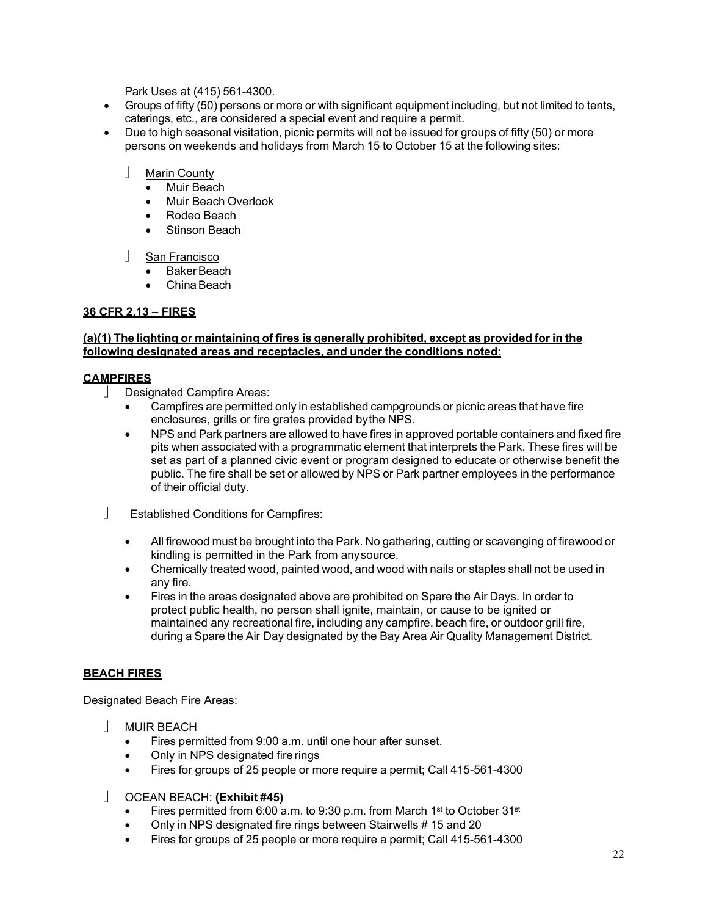Park Uses at (415) 561-4300.

- Groups of fifty (50) persons or more or with significant equipment including, but not limited to tents, caterings, etc., are considered a special event and require a permit.
- Due to high seasonal visitation, picnic permits will not be issued for groups of fifty (50) or more persons on weekends and holidays from March 15 to October 15 at the following sites:
	- Marin County
		- Muir Beach
		- Muir Beach Overlook
		- Rodeo Beach
		- Stinson Beach
	- San Francisco
		- Baker Beach
		- ChinaBeach

# **36 CFR 2.13 – FIRES**

#### **(a)(1) The lighting or maintaining of fires is generally prohibited, except as provided for in the following designated areas and receptacles, and under the conditions noted**:

### **CAMPFIRES**

- Designated Campfire Areas:
	- Campfires are permitted only in established campgrounds or picnic areas that have fire enclosures, grills or fire grates provided bythe NPS.
	- NPS and Park partners are allowed to have fires in approved portable containers and fixed fire pits when associated with a programmatic element that interprets the Park. These fires will be set as part of a planned civic event or program designed to educate or otherwise benefit the public. The fire shall be set or allowed by NPS or Park partner employees in the performance of their official duty.
- Established Conditions for Campfires:
	- All firewood must be brought into the Park. No gathering, cutting or scavenging of firewood or kindling is permitted in the Park from anysource.
	- Chemically treated wood, painted wood, and wood with nails or staples shall not be used in any fire.
	- Fires in the areas designated above are prohibited on Spare the Air Days. In order to protect public health, no person shall ignite, maintain, or cause to be ignited or maintained any recreational fire, including any campfire, beach fire, or outdoor grill fire, during a Spare the Air Day designated by the Bay Area Air Quality Management District.

# **BEACH FIRES**

Designated Beach Fire Areas:

- **NUIR BEACH** 
	- Fires permitted from 9:00 a.m. until one hour after sunset.
	- Only in NPS designated fire rings
	- Fires for groups of 25 people or more require a permit; Call 415-561-4300

### OCEAN BEACH: **(Exhibit #45)**

- Fires permitted from 6:00 a.m. to 9:30 p.m. from March 1<sup>st</sup> to October 31<sup>st</sup>
- Only in NPS designated fire rings between Stairwells # 15 and 20
- Fires for groups of 25 people or more require a permit; Call 415-561-4300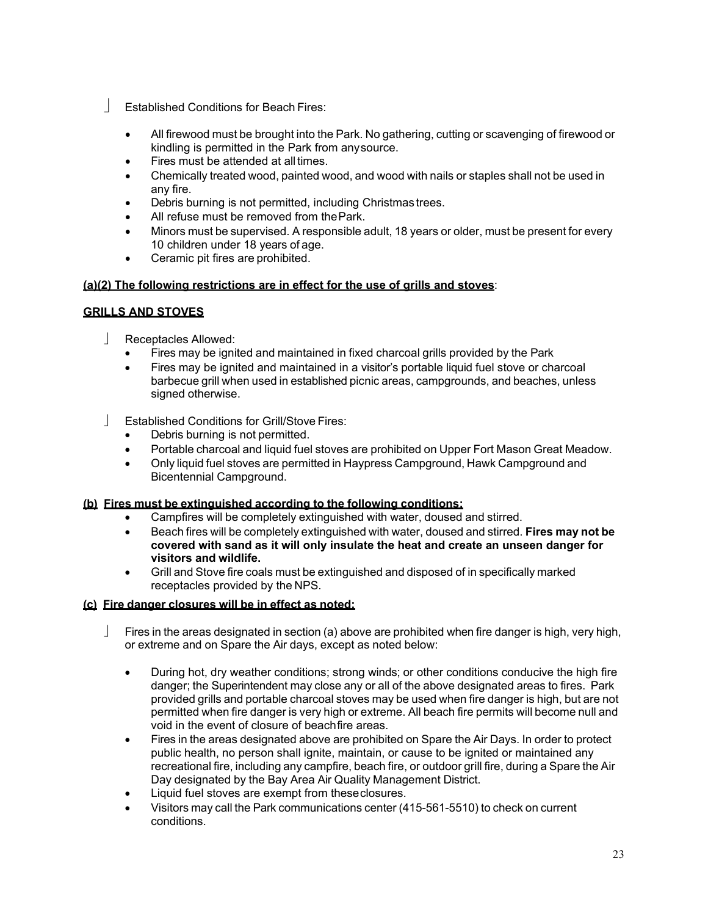- Established Conditions for Beach Fires:
	- All firewood must be brought into the Park. No gathering, cutting or scavenging of firewood or kindling is permitted in the Park from anysource.
	- Fires must be attended at all times.
	- Chemically treated wood, painted wood, and wood with nails or staples shall not be used in any fire.
	- Debris burning is not permitted, including Christmas trees.
	- All refuse must be removed from the Park.
	- Minors must be supervised. A responsible adult, 18 years or older, must be present for every 10 children under 18 years of age.
	- Ceramic pit fires are prohibited.

# **(a)(2) The following restrictions are in effect for the use of grills and stoves**:

# **GRILLS AND STOVES**

- Receptacles Allowed:
	- Fires may be ignited and maintained in fixed charcoal grills provided by the Park
	- Fires may be ignited and maintained in a visitor's portable liquid fuel stove or charcoal barbecue grill when used in established picnic areas, campgrounds, and beaches, unless signed otherwise.
- Established Conditions for Grill/Stove Fires:
	- Debris burning is not permitted.
	- Portable charcoal and liquid fuel stoves are prohibited on Upper Fort Mason Great Meadow.
	- Only liquid fuel stoves are permitted in Haypress Campground, Hawk Campground and Bicentennial Campground.

# **(b) Fires must be extinguished according to the following conditions:**

- Campfires will be completely extinguished with water, doused and stirred.
- Beach fires will be completely extinguished with water, doused and stirred. **Fires may not be covered with sand as it will only insulate the heat and create an unseen danger for visitors and wildlife.**
- Grill and Stove fire coals must be extinguished and disposed of in specifically marked receptacles provided by the NPS.

# **(c) Fire danger closures will be in effect as noted:**

- Fires in the areas designated in section (a) above are prohibited when fire danger is high, very high, or extreme and on Spare the Air days, except as noted below:
	- During hot, dry weather conditions; strong winds; or other conditions conducive the high fire danger; the Superintendent may close any or all of the above designated areas to fires. Park provided grills and portable charcoal stoves may be used when fire danger is high, but are not permitted when fire danger is very high or extreme. All beach fire permits will become null and void in the event of closure of beachfire areas.
	- Fires in the areas designated above are prohibited on Spare the Air Days. In order to protect public health, no person shall ignite, maintain, or cause to be ignited or maintained any recreational fire, including any campfire, beach fire, or outdoor grill fire, during a Spare the Air Day designated by the Bay Area Air Quality Management District.
	- Liquid fuel stoves are exempt from these closures.
	- Visitors may call the Park communications center (415-561-5510) to check on current conditions.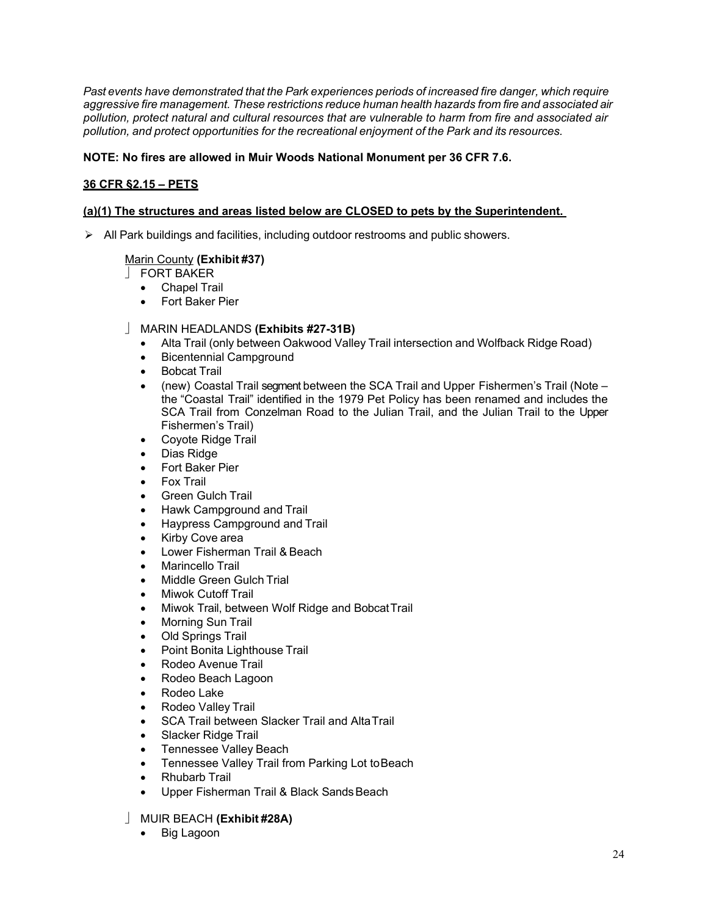*Past events have demonstrated that the Park experiences periods of increased fire danger, which require aggressive fire management. These restrictions reduce human health hazards from fire and associated air pollution, protect natural and cultural resources that are vulnerable to harm from fire and associated air pollution, and protect opportunities for the recreational enjoyment of the Park and its resources.*

# **NOTE: No fires are allowed in Muir Woods National Monument per 36 CFR 7.6.**

# **36 CFR §2.15 – PETS**

# **(a)(1) The structures and areas listed below are CLOSED to pets by the Superintendent.**

All Park buildings and facilities, including outdoor restrooms and public showers.

# Marin County **(Exhibit #37)**

- FORT BAKER
	- Chapel Trail
	- Fort Baker Pier

## MARIN HEADLANDS **(Exhibits #27-31B)**

- Alta Trail (only between Oakwood Valley Trail intersection and Wolfback Ridge Road)
- Bicentennial Campground
- Bobcat Trail
- (new) Coastal Trail segment between the SCA Trail and Upper Fishermen's Trail (Note the "Coastal Trail" identified in the 1979 Pet Policy has been renamed and includes the SCA Trail from Conzelman Road to the Julian Trail, and the Julian Trail to the Upper Fishermen's Trail)
- Coyote Ridge Trail
- Dias Ridge
- Fort Baker Pier
- Fox Trail
- **Green Gulch Trail**
- Hawk Campground and Trail
- Haypress Campground and Trail
- Kirby Cove area
- Lower Fisherman Trail & Beach
- Marincello Trail
- Middle Green Gulch Trial
- Miwok Cutoff Trail
- Miwok Trail, between Wolf Ridge and BobcatTrail
- Morning Sun Trail
- Old Springs Trail
- Point Bonita Lighthouse Trail
- Rodeo Avenue Trail
- Rodeo Beach Lagoon
- Rodeo Lake
- Rodeo Valley Trail
- SCA Trail between Slacker Trail and AltaTrail
- Slacker Ridge Trail
- Tennessee Valley Beach
- Tennessee Valley Trail from Parking Lot toBeach
- Rhubarb Trail
- Upper Fisherman Trail & Black Sands Beach

# MUIR BEACH **(Exhibit #28A)**

**Big Lagoon**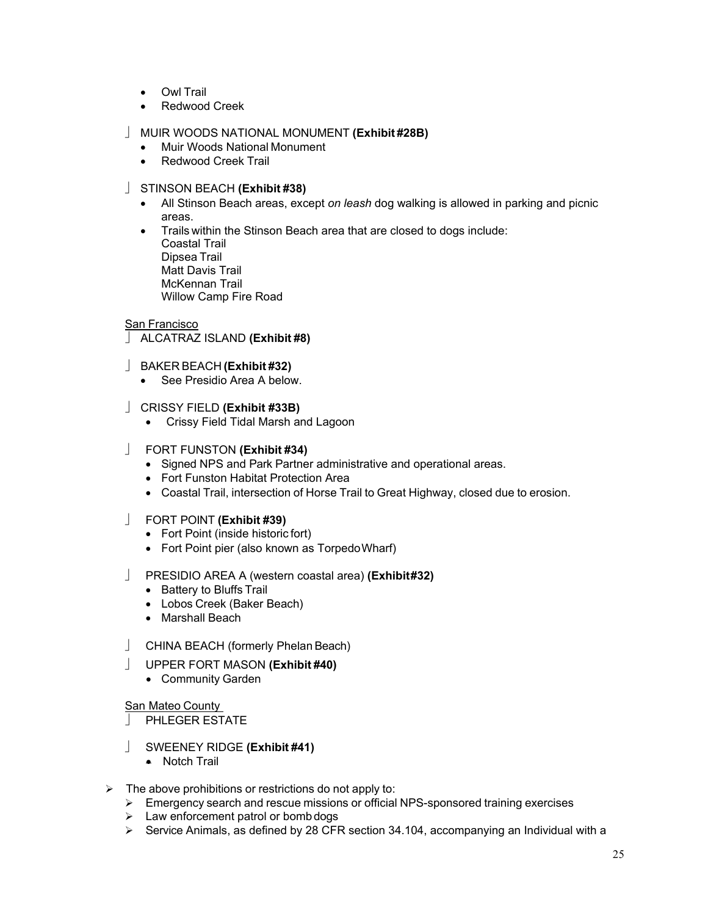- Owl Trail
- Redwood Creek

# MUIR WOODS NATIONAL MONUMENT **(Exhibit #28B)**

- Muir Woods National Monument
- Redwood Creek Trail

# STINSON BEACH **(Exhibit #38)**

- All Stinson Beach areas, except *on leash* dog walking is allowed in parking and picnic areas.
- Trails within the Stinson Beach area that are closed to dogs include: Coastal Trail Dipsea Trail Matt Davis Trail McKennan Trail Willow Camp Fire Road

# San Francisco

- ALCATRAZ ISLAND **(Exhibit #8)**
- BAKER BEACH **(Exhibit #32)** 
	- See Presidio Area A below.

# CRISSY FIELD **(Exhibit #33B)**

• Crissy Field Tidal Marsh and Lagoon

## FORT FUNSTON **(Exhibit #34)**

- Signed NPS and Park Partner administrative and operational areas.
- Fort Funston Habitat Protection Area
- Coastal Trail, intersection of Horse Trail to Great Highway, closed due to erosion.

### FORT POINT **(Exhibit #39)**

- Fort Point (inside historic fort)
- Fort Point pier (also known as TorpedoWharf)

# PRESIDIO AREA A (western coastal area) **(Exhibit #32)**

- Battery to Bluffs Trail
- Lobos Creek (Baker Beach)
- Marshall Beach
- CHINA BEACH (formerly Phelan Beach)
- UPPER FORT MASON **(Exhibit #40)** 
	- Community Garden

### San Mateo County

PHLEGER ESTATE

- SWEENEY RIDGE **(Exhibit #41)** 
	- Notch Trail
- $\triangleright$  The above prohibitions or restrictions do not apply to:
	- Emergency search and rescue missions or official NPS-sponsored training exercises
	- $\triangleright$  Law enforcement patrol or bomb dogs
	- $\triangleright$  Service Animals, as defined by 28 CFR section 34.104, accompanying an Individual with a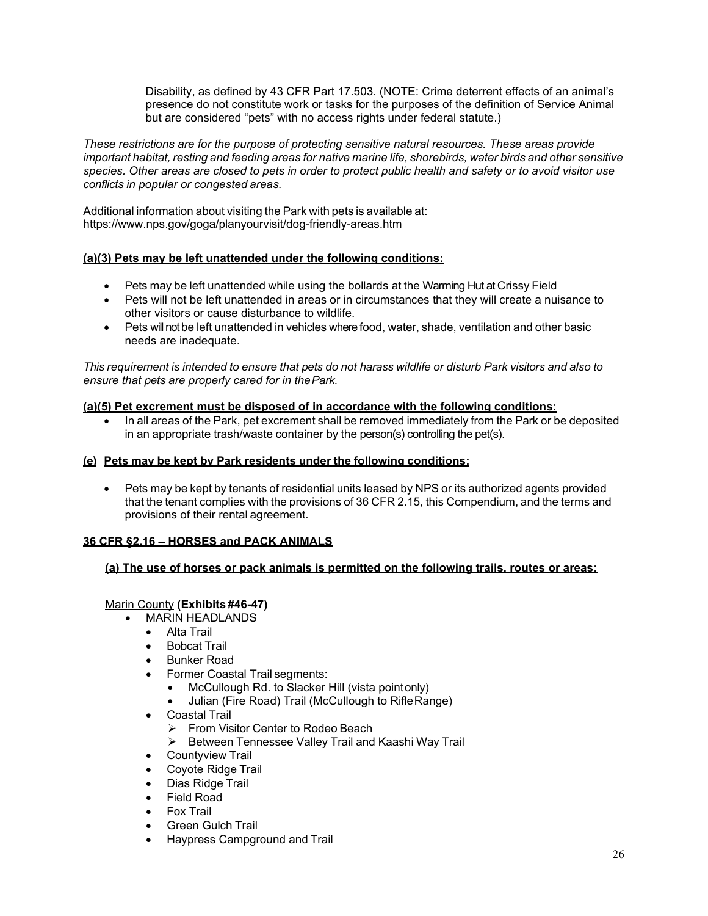Disability, as defined by 43 CFR Part 17.503. (NOTE: Crime deterrent effects of an animal's presence do not constitute work or tasks for the purposes of the definition of Service Animal but are considered "pets" with no access rights under federal statute.)

*These restrictions are for the purpose of protecting sensitive natural resources. These areas provide*  important habitat, resting and feeding areas for native marine life, shorebirds, water birds and other sensitive *species. Other areas are closed to pets in order to protect public health and safety or to avoid visitor use conflicts in popular or congested areas.*

Additional information about visiting the Park with pets is available at: <https://www.nps.gov/goga/planyourvisit/dog-friendly-areas.htm>

## **(a)(3) Pets may be left unattended under the following conditions:**

- Pets may be left unattended while using the bollards at the Warming Hut at Crissy Field
- Pets will not be left unattended in areas or in circumstances that they will create a nuisance to other visitors or cause disturbance to wildlife.
- Pets will not be left unattended in vehicles where food, water, shade, ventilation and other basic needs are inadequate.

This requirement is intended to ensure that pets do not harass wildlife or disturb Park visitors and also to *ensure that pets are properly cared for in thePark.*

### **(a)(5) Pet excrement must be disposed of in accordance with the following conditions:**

• In all areas of the Park, pet excrement shall be removed immediately from the Park or be deposited in an appropriate trash/waste container by the person(s) controlling the pet(s).

### **(e) Pets may be kept by Park residents under the following conditions:**

• Pets may be kept by tenants of residential units leased by NPS or its authorized agents provided that the tenant complies with the provisions of 36 CFR 2.15, this Compendium, and the terms and provisions of their rental agreement.

# **36 CFR §2.16 – HORSES and PACK ANIMALS**

### **(a) The use of horses or pack animals is permitted on the following trails, routes or areas:**

# Marin County **(Exhibits #46-47)**

- MARIN HEADLANDS
	- Alta Trail
	- Bobcat Trail
	- Bunker Road
	- Former Coastal Trail segments:
		- McCullough Rd. to Slacker Hill (vista pointonly)
		- Julian (Fire Road) Trail (McCullough to RifleRange)
	- Coastal Trail
		- From Visitor Center to Rodeo Beach
		- ▶ Between Tennessee Valley Trail and Kaashi Way Trail
	- Countyview Trail
	- Coyote Ridge Trail
	- Dias Ridge Trail
	- Field Road
	- Fox Trail
	- Green Gulch Trail
	- Haypress Campground and Trail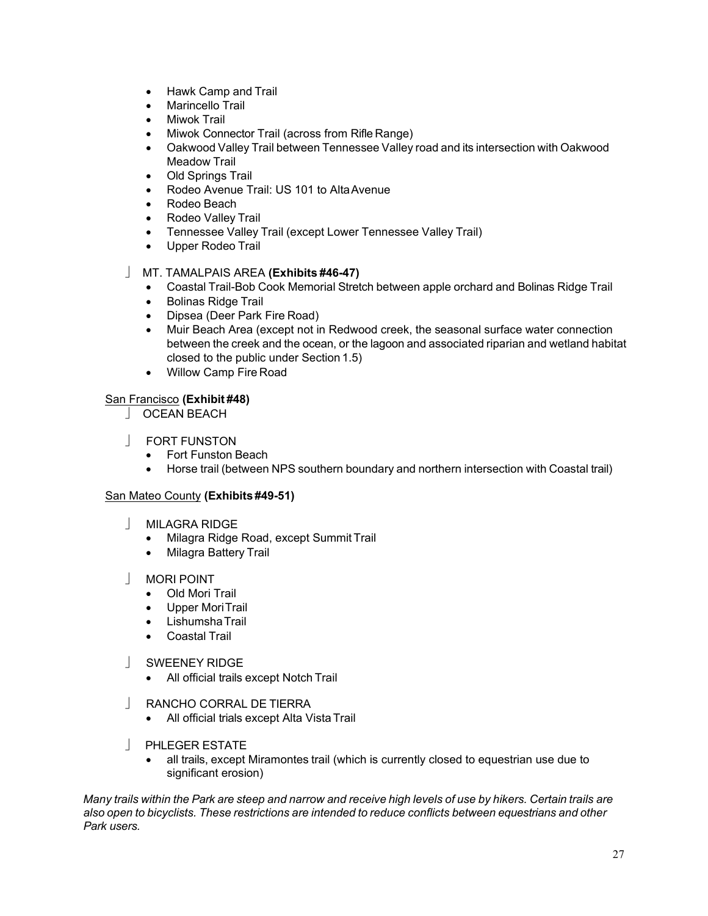- Hawk Camp and Trail
- Marincello Trail
- Miwok Trail
- Miwok Connector Trail (across from Rifle Range)
- Oakwood Valley Trail between Tennessee Valley road and its intersection with Oakwood Meadow Trail
- Old Springs Trail
- Rodeo Avenue Trail: US 101 to AltaAvenue
- Rodeo Beach
- Rodeo Valley Trail
- Tennessee Valley Trail (except Lower Tennessee Valley Trail)
- Upper Rodeo Trail

# MT. TAMALPAIS AREA **(Exhibits #46-47)**

- Coastal Trail-Bob Cook Memorial Stretch between apple orchard and Bolinas Ridge Trail
- Bolinas Ridge Trail
- Dipsea (Deer Park Fire Road)
- Muir Beach Area (except not in Redwood creek, the seasonal surface water connection between the creek and the ocean, or the lagoon and associated riparian and wetland habitat closed to the public under Section 1.5)
- Willow Camp Fire Road

# San Francisco **(Exhibit #48)**

- OCEAN BEACH
- FORT FUNSTON
	- Fort Funston Beach
	- Horse trail (between NPS southern boundary and northern intersection with Coastal trail)

# San Mateo County **(Exhibits #49-51)**

- **MILAGRA RIDGE** 
	- Milagra Ridge Road, except Summit Trail
	- Milagra Battery Trail

# MORI POINT

- Old Mori Trail
- Upper MoriTrail
- LishumshaTrail
- Coastal Trail

# SWEENEY RIDGE

- All official trails except Notch Trail
- RANCHO CORRAL DE TIERRA
	- All official trials except Alta Vista Trail
- **PHLEGER ESTATE** 
	- all trails, except Miramontes trail (which is currently closed to equestrian use due to significant erosion)

Many trails within the Park are steep and narrow and receive high levels of use by hikers. Certain trails are *also open to bicyclists. These restrictions are intended to reduce conflicts between equestrians and other Park users.*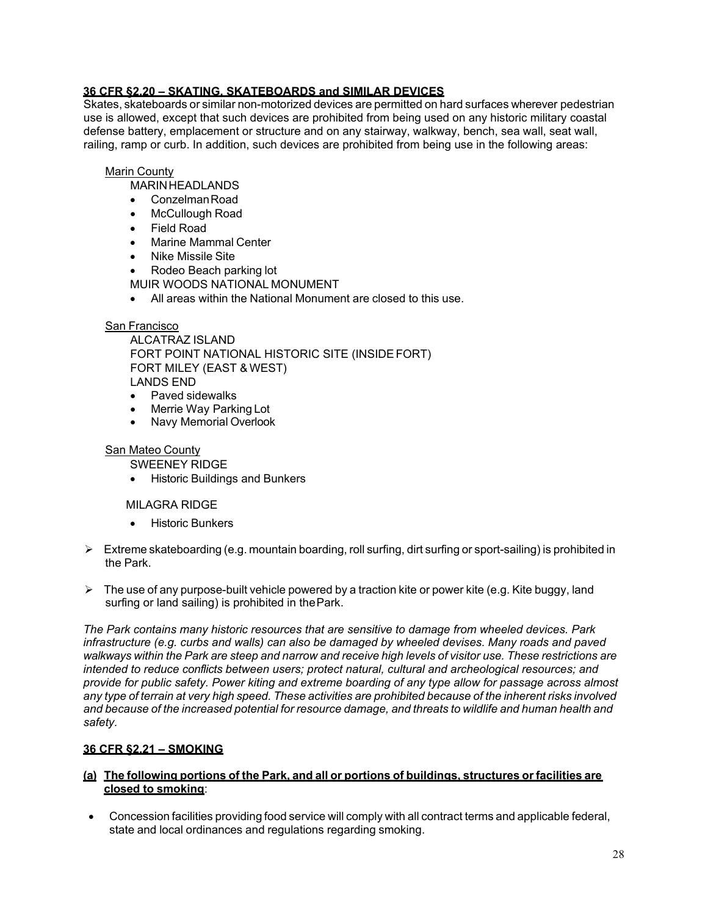# **36 CFR §2.20 – SKATING, SKATEBOARDS and SIMILAR DEVICES**

Skates, skateboards or similar non-motorized devices are permitted on hard surfaces wherever pedestrian use is allowed, except that such devices are prohibited from being used on any historic military coastal defense battery, emplacement or structure and on any stairway, walkway, bench, sea wall, seat wall, railing, ramp or curb. In addition, such devices are prohibited from being use in the following areas:

# Marin County

- MARINHEADLANDS
- ConzelmanRoad
- McCullough Road
- Field Road
- Marine Mammal Center
- Nike Missile Site
- Rodeo Beach parking lot
- MUIR WOODS NATIONAL MONUMENT
- All areas within the National Monument are closed to this use.

## San Francisco

ALCATRAZ ISLAND FORT POINT NATIONAL HISTORIC SITE (INSIDEFORT) FORT MILEY (EAST & WEST) LANDS END

- Paved sidewalks
- Merrie Way Parking Lot
- Navy Memorial Overlook

### San Mateo County

SWEENEY RIDGE

• Historic Buildings and Bunkers

### MILAGRA RIDGE

- **Historic Bunkers**
- $\triangleright$  Extreme skateboarding (e.g. mountain boarding, roll surfing, dirt surfing or sport-sailing) is prohibited in the Park.
- $\triangleright$  The use of any purpose-built vehicle powered by a traction kite or power kite (e.g. Kite buggy, land surfing or land sailing) is prohibited in thePark.

*The Park contains many historic resources that are sensitive to damage from wheeled devices. Park infrastructure (e.g. curbs and walls) can also be damaged by wheeled devises. Many roads and paved*  walkways within the Park are steep and narrow and receive high levels of visitor use. These restrictions are *intended to reduce conflicts between users; protect natural, cultural and archeological resources; and provide for public safety. Power kiting and extreme boarding of any type allow for passage across almost*  any type of terrain at very high speed. These activities are prohibited because of the inherent risks involved *and because of the increased potential for resource damage, and threats to wildlife and human health and safety.*

# **36 CFR §2.21 – SMOKING**

## **(a) The following portions of the Park, and all or portions of buildings, structures or facilities are closed to smoking**:

• Concession facilities providing food service will comply with all contract terms and applicable federal, state and local ordinances and regulations regarding smoking.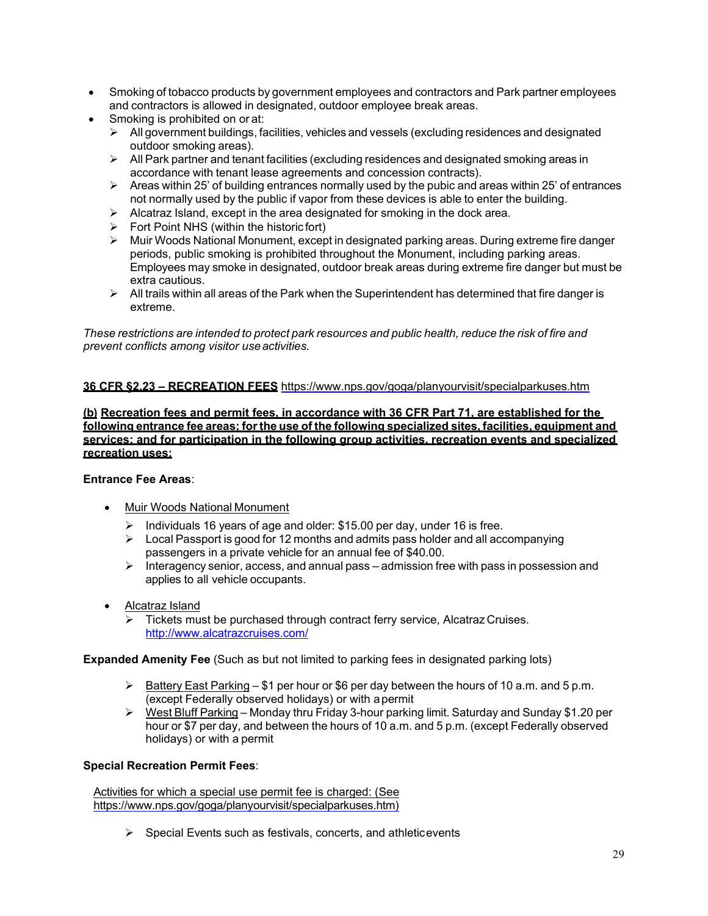- Smoking of tobacco products by government employees and contractors and Park partner employees and contractors is allowed in designated, outdoor employee break areas.
- Smoking is prohibited on or at:
	- $\triangleright$  All government buildings, facilities, vehicles and vessels (excluding residences and designated outdoor smoking areas).
	- $\triangleright$  All Park partner and tenant facilities (excluding residences and designated smoking areas in accordance with tenant lease agreements and concession contracts).
	- $\triangleright$  Areas within 25' of building entrances normally used by the pubic and areas within 25' of entrances not normally used by the public if vapor from these devices is able to enter the building.
	- $\triangleright$  Alcatraz Island, except in the area designated for smoking in the dock area.
	- $\triangleright$  Fort Point NHS (within the historic fort)
	- $\triangleright$  Muir Woods National Monument, except in designated parking areas. During extreme fire danger periods, public smoking is prohibited throughout the Monument, including parking areas. Employees may smoke in designated, outdoor break areas during extreme fire danger but must be extra cautious.
	- $\triangleright$  All trails within all areas of the Park when the Superintendent has determined that fire danger is extreme.

*These restrictions are intended to protect park resources and public health, reduce the risk of fire and prevent conflicts among visitor useactivities.*

# **36 CFR §2.23 – RECREATION FEES** <https://www.nps.gov/goga/planyourvisit/specialparkuses.htm>

**(b) Recreation fees and permit fees, in accordance with 36 CFR Part 71, are established for the following entrance fee areas; for the use of the following specialized sites, facilities, equipment and services; and for participation in the following group activities, recreation events and specialized recreation uses:**

# **Entrance Fee Areas**:

- Muir Woods National Monument
	- $\triangleright$  Individuals 16 years of age and older: \$15.00 per day, under 16 is free.
	- $\triangleright$  Local Passport is good for 12 months and admits pass holder and all accompanying passengers in a private vehicle for an annual fee of \$40.00.
	- $\triangleright$  Interagency senior, access, and annual pass admission free with pass in possession and applies to all vehicle occupants.
- Alcatraz Island
	- $\triangleright$  Tickets must be purchased through contract ferry service, Alcatraz Cruises. <http://www.alcatrazcruises.com/>

**Expanded Amenity Fee** (Such as but not limited to parking fees in designated parking lots)

- $\triangleright$  Battery East Parking \$1 per hour or \$6 per day between the hours of 10 a.m. and 5 p.m. (except Federally observed holidays) or with apermit
- West Bluff Parking Monday thru Friday 3-hour parking limit. Saturday and Sunday \$1.20 per hour or \$7 per day, and between the hours of 10 a.m. and 5 p.m. (except Federally observed holidays) or with a permit

### **Special Recreation Permit Fees**:

Activities for which a special use permit fee is charged: (See [https://www.nps.gov/goga/planyourvisit/specialparkuses.htm\)](https://www.nps.gov/goga/planyourvisit/specialparkuses.htm)

 $\triangleright$  Special Events such as festivals, concerts, and athleticevents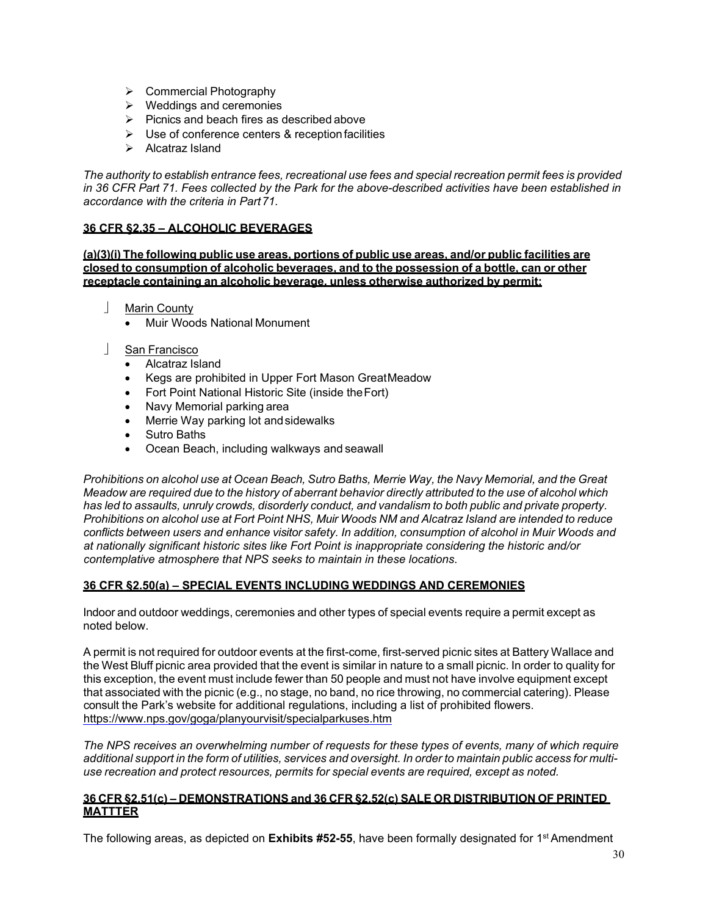- **►** Commercial Photography
- $\triangleright$  Weddings and ceremonies
- $\triangleright$  Picnics and beach fires as described above
- $\triangleright$  Use of conference centers & reception facilities
- $\triangleright$  Alcatraz Island

*The authority to establish entrance fees, recreational use fees and special recreation permit fees is provided in 36 CFR Part 71. Fees collected by the Park for the above-described activities have been established in accordance with the criteria in Part71.*

### **36 CFR §2.35 – ALCOHOLIC BEVERAGES**

**(a)(3)(i) The following public use areas, portions of public use areas, and/or public facilities are closed to consumption of alcoholic beverages, and to the possession of a bottle, can or other receptacle containing an alcoholic beverage, unless otherwise authorized by permit:**

- Marin County
	- Muir Woods National Monument
- San Francisco
	- Alcatraz Island
	- Kegs are prohibited in Upper Fort Mason GreatMeadow
	- Fort Point National Historic Site (inside theFort)
	- Navy Memorial parking area<br>• Merrie Way parking lot and si
	- Merrie Way parking lot andsidewalks
	- Sutro Baths
	- Ocean Beach, including walkways and seawall

*Prohibitions on alcohol use at Ocean Beach, Sutro Baths, Merrie Way, the Navy Memorial, and the Great*  Meadow are required due to the history of aberrant behavior directly attributed to the use of alcohol which *has led to assaults, unruly crowds, disorderly conduct, and vandalism to both public and private property. Prohibitions on alcohol use at Fort Point NHS, Muir Woods NM and Alcatraz Island are intended to reduce conflicts between users and enhance visitor safety. In addition, consumption of alcohol in Muir Woods and at nationally significant historic sites like Fort Point is inappropriate considering the historic and/or contemplative atmosphere that NPS seeks to maintain in these locations.*

### **36 CFR §2.50(a) – SPECIAL EVENTS INCLUDING WEDDINGS AND CEREMONIES**

Indoor and outdoor weddings, ceremonies and other types of special events require a permit except as noted below.

A permit is not required for outdoor events at the first-come, first-served picnic sites at Battery Wallace and the West Bluff picnic area provided that the event is similar in nature to a small picnic. In order to quality for this exception, the event must include fewer than 50 people and must not have involve equipment except that associated with the picnic (e.g., no stage, no band, no rice throwing, no commercial catering). Please consult the Park's website for additional regulations, including a list of prohibited flowers. <https://www.nps.gov/goga/planyourvisit/specialparkuses.htm>

*The NPS receives an overwhelming number of requests for these types of events, many of which require*  additional support in the form of utilities, services and oversight. In order to maintain public access for multi*use recreation and protect resources, permits for special events are required, except as noted.*

### **36 CFR §2.51(c) – DEMONSTRATIONS and 36 CFR §2.52(c) SALE OR DISTRIBUTION OF PRINTED MATTTER**

The following areas, as depicted on **Exhibits #52-55**, have been formally designated for 1st Amendment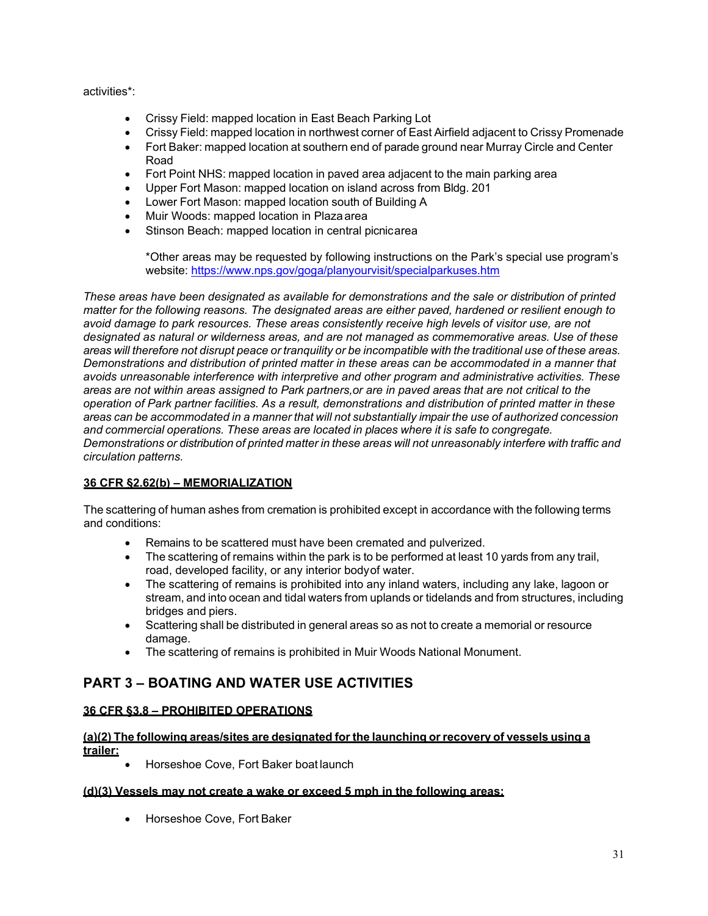activities\*:

- Crissy Field: mapped location in East Beach Parking Lot
- Crissy Field: mapped location in northwest corner of East Airfield adjacent to Crissy Promenade
- Fort Baker: mapped location at southern end of parade ground near Murray Circle and Center Road
- Fort Point NHS: mapped location in paved area adjacent to the main parking area
- Upper Fort Mason: mapped location on island across from Bldg. 201
- Lower Fort Mason: mapped location south of Building A
- Muir Woods: mapped location in Plazaarea
- Stinson Beach: mapped location in central picnicarea

\*Other areas may be requested by following instructions on the Park's special use program's website:<https://www.nps.gov/goga/planyourvisit/specialparkuses.htm>

*These areas have been designated as available for demonstrations and the sale or distribution of printed matter for the following reasons. The designated areas are either paved, hardened or resilient enough to avoid damage to park resources. These areas consistently receive high levels of visitor use, are not designated as natural or wilderness areas, and are not managed as commemorative areas. Use of these*  areas will therefore not disrupt peace or tranquility or be incompatible with the traditional use of these areas. *Demonstrations and distribution of printed matter in these areas can be accommodated in a manner that avoids unreasonable interference with interpretive and other program and administrative activities. These areas are not within areas assigned to Park partners,or are in paved areas that are not critical to the operation of Park partner facilities. As a result, demonstrations and distribution of printed matter in these areas can be accommodated in a manner that will not substantially impair the use of authorized concession and commercial operations. These areas are located in places where it is safe to congregate.* Demonstrations or distribution of printed matter in these areas will not unreasonably interfere with traffic and *circulation patterns.*

# **36 CFR §2.62(b) – MEMORIALIZATION**

The scattering of human ashes from cremation is prohibited except in accordance with the following terms and conditions:

- Remains to be scattered must have been cremated and pulverized.
- The scattering of remains within the park is to be performed at least 10 yards from any trail, road, developed facility, or any interior bodyof water.
- The scattering of remains is prohibited into any inland waters, including any lake, lagoon or stream, and into ocean and tidal waters from uplands or tidelands and from structures, including bridges and piers.
- Scattering shall be distributed in general areas so as not to create a memorial or resource damage.
- The scattering of remains is prohibited in Muir Woods National Monument.

# <span id="page-30-0"></span>**PART 3 – BOATING AND WATER USE ACTIVITIES**

# **36 CFR §3.8 – PROHIBITED OPERATIONS**

# **(a)(2) The following areas/sites are designated for the launching or recovery of vessels using a trailer:**

• Horseshoe Cove, Fort Baker boat launch

# **(d)(3) Vessels may not create a wake or exceed 5 mph in the following areas:**

• Horseshoe Cove, Fort Baker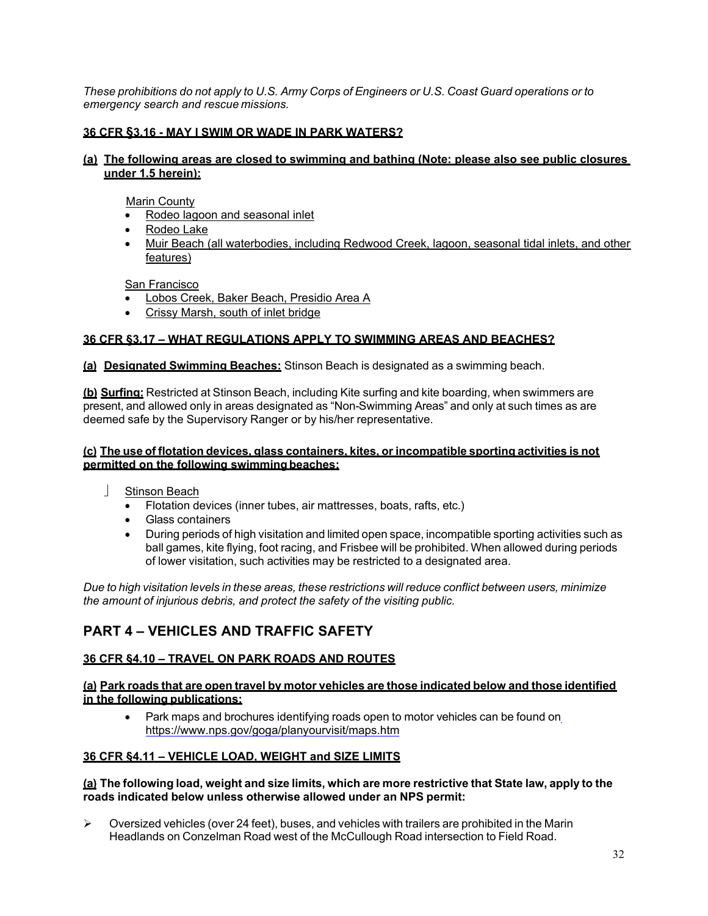These prohibitions do not apply to U.S. Army Corps of Engineers or U.S. Coast Guard operations or to *emergency search and rescue missions.*

# **36 CFR §3.16 - MAY I SWIM OR WADE IN PARK WATERS?**

### **(a) The following areas are closed to swimming and bathing (Note: please also see public closures under 1.5 herein):**

Marin County

- Rodeo lagoon and seasonal inlet
- Rodeo Lake
- Muir Beach (all waterbodies, including Redwood Creek, lagoon, seasonal tidal inlets, and other features)

San Francisco

- Lobos Creek, Baker Beach, Presidio Area A
- Crissy Marsh, south of inlet bridge

## **36 CFR §3.17 – WHAT REGULATIONS APPLY TO SWIMMING AREAS AND BEACHES?**

**(a) Designated Swimming Beaches:** Stinson Beach is designated as a swimming beach.

**(b) Surfing:** Restricted at Stinson Beach, including Kite surfing and kite boarding, when swimmers are present, and allowed only in areas designated as "Non-Swimming Areas" and only at such times as are deemed safe by the Supervisory Ranger or by his/her representative.

### **(c) The use of flotation devices, glass containers, kites, or incompatible sporting activities is not permitted on the following swimmingbeaches:**

- Stinson Beach
	- Flotation devices (inner tubes, air mattresses, boats, rafts, etc.)
	- Glass containers
	- During periods of high visitation and limited open space, incompatible sporting activities such as ball games, kite flying, foot racing, and Frisbee will be prohibited. When allowed during periods of lower visitation, such activities may be restricted to a designated area.

*Due to high visitation levels in these areas, these restrictions will reduce conflict between users, minimize the amount of injurious debris, and protect the safety of the visiting public.*

# <span id="page-31-0"></span>**PART 4 – VEHICLES AND TRAFFIC SAFETY**

# **36 CFR §4.10 – TRAVEL ON PARK ROADS AND ROUTES**

**(a) Park roads that are open travel by motor vehicles are those indicated below and those identified in the following publications:** 

• Park maps and brochures identifying roads open to motor vehicles can be found on <https://www.nps.gov/goga/planyourvisit/maps.htm>

### **36 CFR §4.11 – VEHICLE LOAD, WEIGHT and SIZE LIMITS**

### **(a) The following load, weight and size limits, which are more restrictive that State law, apply to the roads indicated below unless otherwise allowed under an NPS permit:**

 $\triangleright$  Oversized vehicles (over 24 feet), buses, and vehicles with trailers are prohibited in the Marin Headlands on Conzelman Road west of the McCullough Road intersection to Field Road.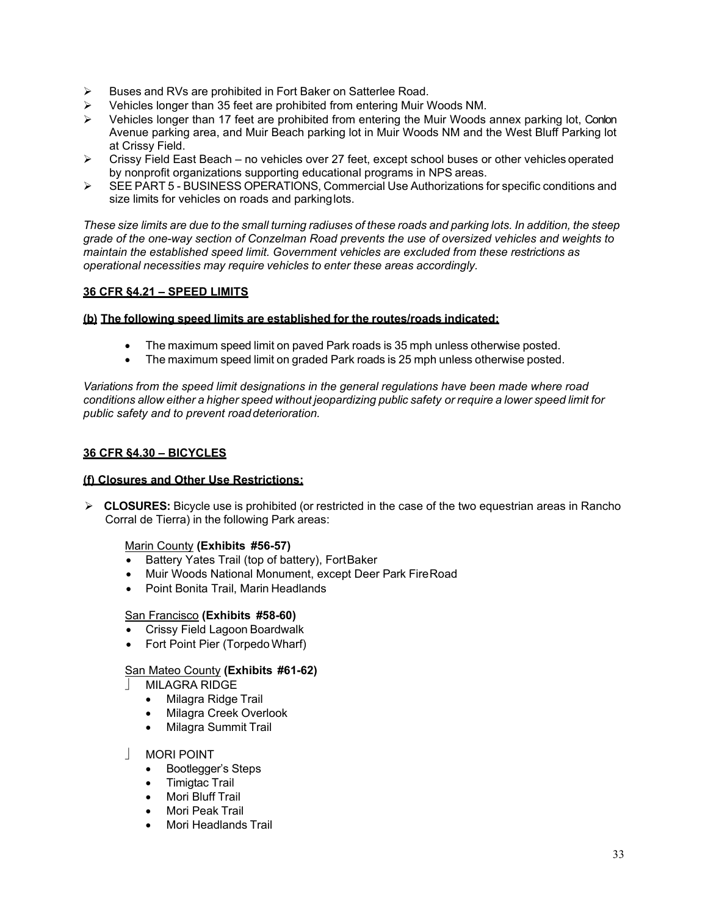- **►** Buses and RVs are prohibited in Fort Baker on Satterlee Road.
- $\triangleright$  Vehicles longer than 35 feet are prohibited from entering Muir Woods NM.
- $\triangleright$  Vehicles longer than 17 feet are prohibited from entering the Muir Woods annex parking lot, Conlon Avenue parking area, and Muir Beach parking lot in Muir Woods NM and the West Bluff Parking lot at Crissy Field.
- $\triangleright$  Crissy Field East Beach no vehicles over 27 feet, except school buses or other vehicles operated by nonprofit organizations supporting educational programs in NPS areas.
- SEE PART 5 BUSINESS OPERATIONS, Commercial Use Authorizations for specific conditions and size limits for vehicles on roads and parkinglots.

These size limits are due to the small turning radiuses of these roads and parking lots. In addition, the steep *grade of the one-way section of Conzelman Road prevents the use of oversized vehicles and weights to maintain the established speed limit. Government vehicles are excluded from these restrictions as operational necessities may require vehicles to enter these areas accordingly.*

# **36 CFR §4.21 – SPEED LIMITS**

### **(b) The following speed limits are established for the routes/roads indicated:**

- The maximum speed limit on paved Park roads is 35 mph unless otherwise posted.
- The maximum speed limit on graded Park roads is 25 mph unless otherwise posted.

*Variations from the speed limit designations in the general regulations have been made where road conditions allow either a higher speed without jeopardizing public safety or require a lower speed limit for public safety and to prevent roaddeterioration.*

### **36 CFR §4.30 – BICYCLES**

### **(f) Closures and Other Use Restrictions:**

 **CLOSURES:** Bicycle use is prohibited (or restricted in the case of the two equestrian areas in Rancho Corral de Tierra) in the following Park areas:

### Marin County **(Exhibits #56-57)**

- Battery Yates Trail (top of battery), FortBaker
- Muir Woods National Monument, except Deer Park FireRoad
- Point Bonita Trail, Marin Headlands

### San Francisco **(Exhibits #58-60)**

- Crissy Field Lagoon Boardwalk
- Fort Point Pier (Torpedo Wharf)

### San Mateo County **(Exhibits #61-62)**

- MILAGRA RIDGE
	- Milagra Ridge Trail
	- Milagra Creek Overlook
	- Milagra Summit Trail

### MORI POINT

- Bootlegger's Steps
- Timigtac Trail
- Mori Bluff Trail
- Mori Peak Trail
- Mori Headlands Trail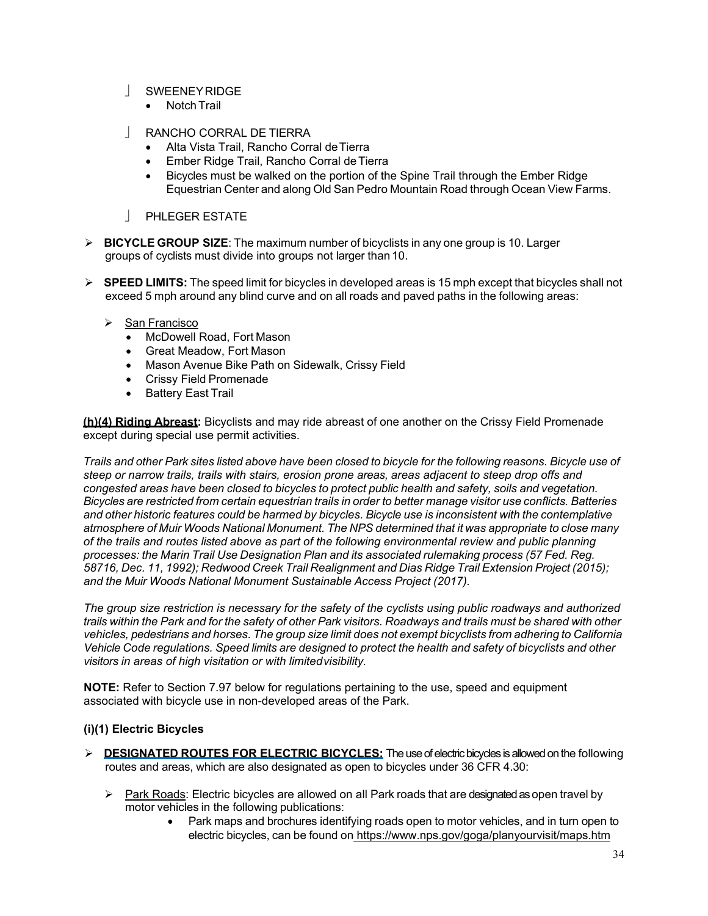- | SWEENEYRIDGE
	- Notch Trail
- RANCHO CORRAL DE TIERRA
	- Alta Vista Trail, Rancho Corral deTierra
	- Ember Ridge Trail, Rancho Corral deTierra
	- Bicycles must be walked on the portion of the Spine Trail through the Ember Ridge Equestrian Center and along Old San Pedro Mountain Road through Ocean View Farms.
- **PHLEGER ESTATE**
- **BICYCLE GROUP SIZE**: The maximum number of bicyclists in any one group is 10. Larger groups of cyclists must divide into groups not larger than10.
- **SPEED LIMITS:** The speed limit for bicycles in developed areas is 15 mph except that bicycles shall not exceed 5 mph around any blind curve and on all roads and paved paths in the following areas:
	- San Francisco
		- McDowell Road, Fort Mason
		- Great Meadow, Fort Mason
		- Mason Avenue Bike Path on Sidewalk, Crissy Field
		- Crissy Field Promenade
		- Battery East Trail

**(h)(4) Riding Abreast:** Bicyclists and may ride abreast of one another on the Crissy Field Promenade except during special use permit activities.

Trails and other Park sites listed above have been closed to bicycle for the following reasons. Bicycle use of *steep or narrow trails, trails with stairs, erosion prone areas, areas adjacent to steep drop offs and congested areas have been closed to bicycles to protect public health and safety, soils and vegetation.* Bicycles are restricted from certain equestrian trails in order to better manage visitor use conflicts. Batteries *and other historic features could be harmed by bicycles. Bicycle use is inconsistent with the contemplative atmosphere of Muir Woods National Monument. The NPS determined that it was appropriate to close many of the trails and routes listed above as part of the following environmental review and public planning processes: the Marin Trail Use Designation Plan and its associated rulemaking process (57 Fed. Reg. 58716, Dec. 11, 1992); Redwood Creek Trail Realignment and Dias Ridge Trail Extension Project (2015); and the Muir Woods National Monument Sustainable Access Project (2017).*

*The group size restriction is necessary for the safety of the cyclists using public roadways and authorized*  trails within the Park and for the safety of other Park visitors. Roadways and trails must be shared with other *vehicles, pedestrians and horses. The group size limit does not exempt bicyclists from adhering to California*  Vehicle Code regulations. Speed limits are designed to protect the health and safety of bicyclists and other *visitors in areas of high visitation or with limitedvisibility.*

**NOTE:** Refer to Section 7.97 below for regulations pertaining to the use, speed and equipment associated with bicycle use in non-developed areas of the Park.

# **(i)(1) Electric Bicycles**

- **DESIGNATED ROUTES FOR ELECTRIC BICYCLES:** The use of electric bicycles is allowed on the following routes and areas, which are also designated as open to bicycles under 36 CFR 4.30:
	- $\triangleright$  Park Roads: Electric bicycles are allowed on all Park roads that are designated as open travel by motor vehicles in the following publications:
		- Park maps and brochures identifying roads open to motor vehicles, and in turn open to electric bicycles, can be found on <https://www.nps.gov/goga/planyourvisit/maps.htm>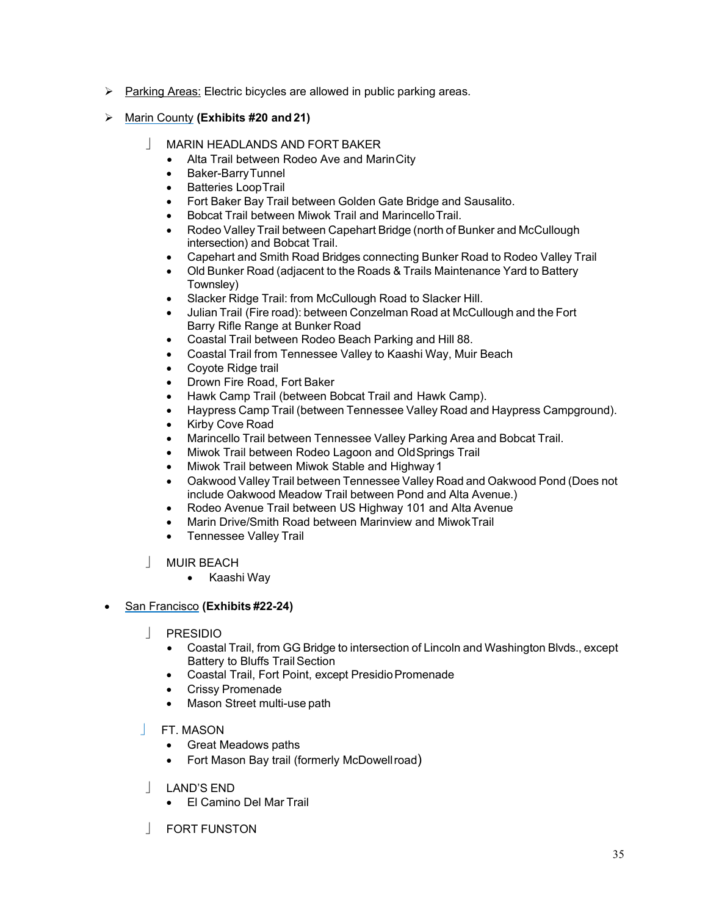- $\triangleright$  Parking Areas: Electric bicycles are allowed in public parking areas.
- Marin County **(Exhibits #20 and 21)**
	- MARIN HEADLANDS AND FORT BAKER
		- Alta Trail between Rodeo Ave and MarinCity
		- Baker-BarryTunnel
		- Batteries LoopTrail
		- Fort Baker Bay Trail between Golden Gate Bridge and Sausalito.
		- Bobcat Trail between Miwok Trail and MarincelloTrail.
		- Rodeo Valley Trail between Capehart Bridge (north of Bunker and McCullough intersection) and Bobcat Trail.
		- Capehart and Smith Road Bridges connecting Bunker Road to Rodeo Valley Trail
		- Old Bunker Road (adjacent to the Roads & Trails Maintenance Yard to Battery Townsley)
		- Slacker Ridge Trail: from McCullough Road to Slacker Hill.
		- Julian Trail (Fire road): between Conzelman Road at McCullough and the Fort Barry Rifle Range at Bunker Road
		- Coastal Trail between Rodeo Beach Parking and Hill 88.
		- Coastal Trail from Tennessee Valley to Kaashi Way, Muir Beach
		- Coyote Ridge trail
		- Drown Fire Road, Fort Baker
		- Hawk Camp Trail (between Bobcat Trail and Hawk Camp).
		- Haypress Camp Trail (between Tennessee Valley Road and Haypress Campground).
		- Kirby Cove Road
		- Marincello Trail between Tennessee Valley Parking Area and Bobcat Trail.
		- Miwok Trail between Rodeo Lagoon and OldSprings Trail
		- Miwok Trail between Miwok Stable and Highway 1
		- Oakwood Valley Trail between Tennessee Valley Road and Oakwood Pond (Does not include Oakwood Meadow Trail between Pond and Alta Avenue.)
		- Rodeo Avenue Trail between US Highway 101 and Alta Avenue
		- Marin Drive/Smith Road between Marinview and MiwokTrail
		- Tennessee Valley Trail
	- MUIR BEACH
		- Kaashi Way

• San Francisco **(Exhibits #22-24)**

- PRESIDIO
	- Coastal Trail, from GG Bridge to intersection of Lincoln and Washington Blvds., except Battery to Bluffs Trail Section
	- Coastal Trail, Fort Point, except Presidio Promenade
	- Crissy Promenade
	- Mason Street multi-use path
- FT. MASON
	- Great Meadows paths
	- Fort Mason Bay trail (formerly McDowellroad)
- LAND'S END
	- El Camino Del Mar Trail
- FORT FUNSTON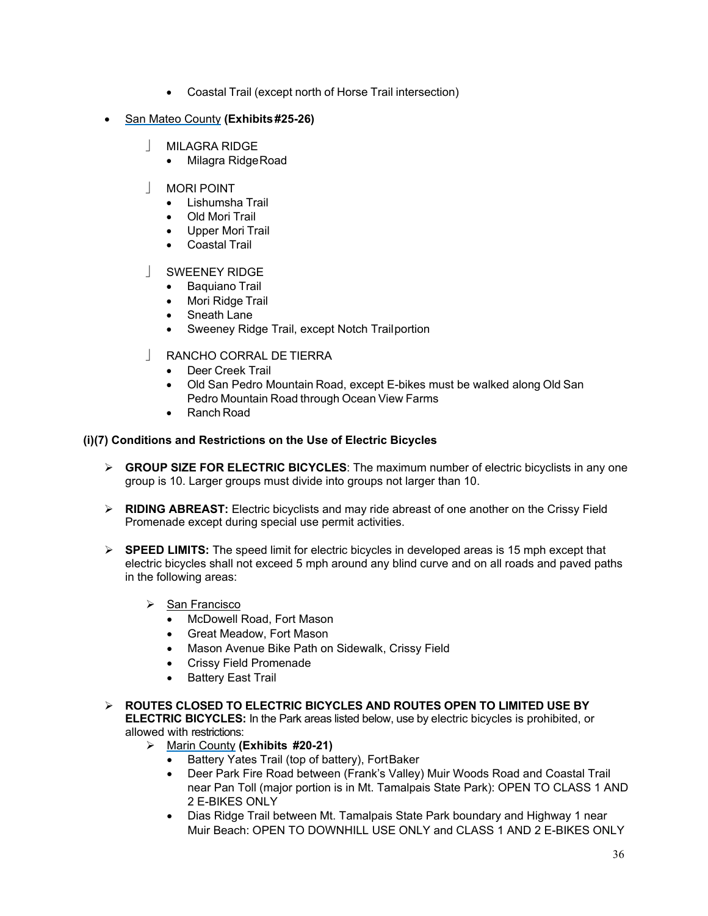- Coastal Trail (except north of Horse Trail intersection)
- San Mateo County **(Exhibits #25-26)**
	- MILAGRA RIDGE
		- Milagra RidgeRoad
	- MORI POINT
		- Lishumsha Trail
		- Old Mori Trail
		- Upper Mori Trail
		- Coastal Trail
	- SWEENEY RIDGE
		- Baquiano Trail
		- Mori Ridge Trail
		- Sneath Lane
		- Sweeney Ridge Trail, except Notch Trailportion
	- RANCHO CORRAL DE TIERRA
		- Deer Creek Trail
		- Old San Pedro Mountain Road, except E-bikes must be walked along Old San Pedro Mountain Road through Ocean View Farms
		- Ranch Road

# **(i)(7) Conditions and Restrictions on the Use of Electric Bicycles**

- **GROUP SIZE FOR ELECTRIC BICYCLES**: The maximum number of electric bicyclists in any one group is 10. Larger groups must divide into groups not larger than 10.
- **RIDING ABREAST:** Electric bicyclists and may ride abreast of one another on the Crissy Field Promenade except during special use permit activities.
- **SPEED LIMITS:** The speed limit for electric bicycles in developed areas is 15 mph except that electric bicycles shall not exceed 5 mph around any blind curve and on all roads and paved paths in the following areas:
	- $\triangleright$  San Francisco
		- McDowell Road, Fort Mason
		- Great Meadow, Fort Mason
		- Mason Avenue Bike Path on Sidewalk, Crissy Field
		- Crissy Field Promenade
		- Battery East Trail
- **ROUTES CLOSED TO ELECTRIC BICYCLES AND ROUTES OPEN TO LIMITED USE BY ELECTRIC BICYCLES:** In the Park areas listed below, use by electric bicycles is prohibited, or allowed with restrictions:
	- Marin County **(Exhibits #20-21)**
		- Battery Yates Trail (top of battery), FortBaker
		- Deer Park Fire Road between (Frank's Valley) Muir Woods Road and Coastal Trail near Pan Toll (major portion is in Mt. Tamalpais State Park): OPEN TO CLASS 1 AND 2 E-BIKES ONLY
		- Dias Ridge Trail between Mt. Tamalpais State Park boundary and Highway 1 near Muir Beach: OPEN TO DOWNHILL USE ONLY and CLASS 1 AND 2 E-BIKES ONLY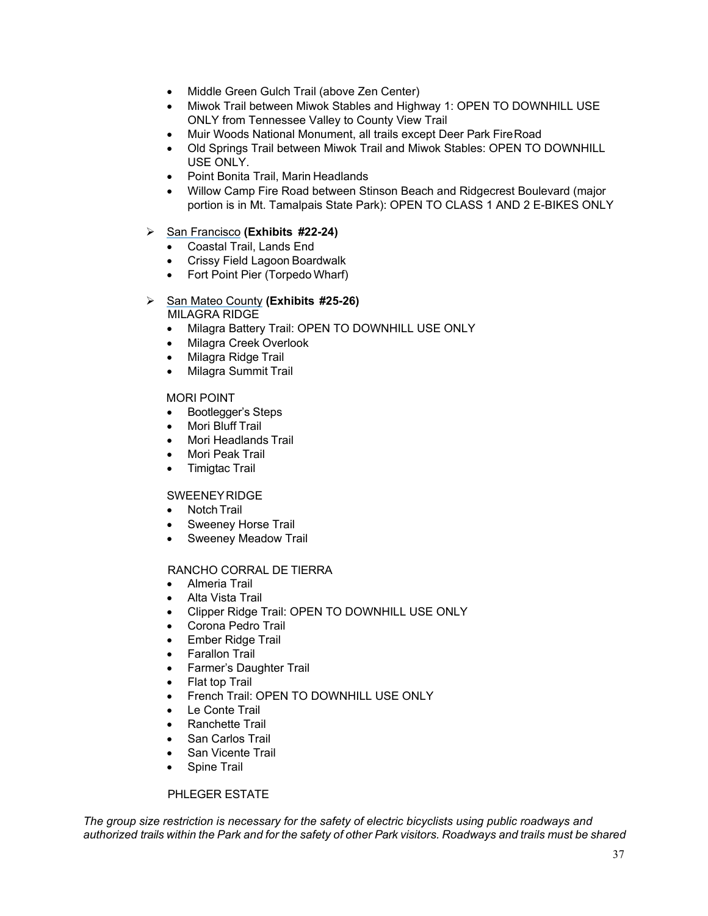- Middle Green Gulch Trail (above Zen Center)
- Miwok Trail between Miwok Stables and Highway 1: OPEN TO DOWNHILL USE ONLY from Tennessee Valley to County View Trail
- Muir Woods National Monument, all trails except Deer Park FireRoad
- Old Springs Trail between Miwok Trail and Miwok Stables: OPEN TO DOWNHILL USE ONLY.
- Point Bonita Trail, Marin Headlands
- Willow Camp Fire Road between Stinson Beach and Ridgecrest Boulevard (major portion is in Mt. Tamalpais State Park): OPEN TO CLASS 1 AND 2 E-BIKES ONLY

# San Francisco **(Exhibits #22-24)**

- Coastal Trail, Lands End
- Crissy Field Lagoon Boardwalk
- Fort Point Pier (Torpedo Wharf)
- San Mateo County **(Exhibits #25-26)** MILAGRA RIDGE
	- Milagra Battery Trail: OPEN TO DOWNHILL USE ONLY
	- Milagra Creek Overlook
	- Milagra Ridge Trail
	- Milagra Summit Trail

# MORI POINT

- Bootlegger's Steps
- Mori Bluff Trail
- Mori Headlands Trail
- Mori Peak Trail
- Timigtac Trail

# SWEENEYRIDGE

- Notch Trail
- Sweeney Horse Trail
- Sweeney Meadow Trail

# RANCHO CORRAL DE TIERRA

- Almeria Trail
- Alta Vista Trail
- Clipper Ridge Trail: OPEN TO DOWNHILL USE ONLY
- Corona Pedro Trail
- Ember Ridge Trail
- Farallon Trail
- Farmer's Daughter Trail
- Flat top Trail
- French Trail: OPEN TO DOWNHILL USE ONLY
- Le Conte Trail
- Ranchette Trail
- San Carlos Trail
- San Vicente Trail
- Spine Trail

# PHLEGER ESTATE

*The group size restriction is necessary for the safety of electric bicyclists using public roadways and*  authorized trails within the Park and for the safety of other Park visitors. Roadways and trails must be shared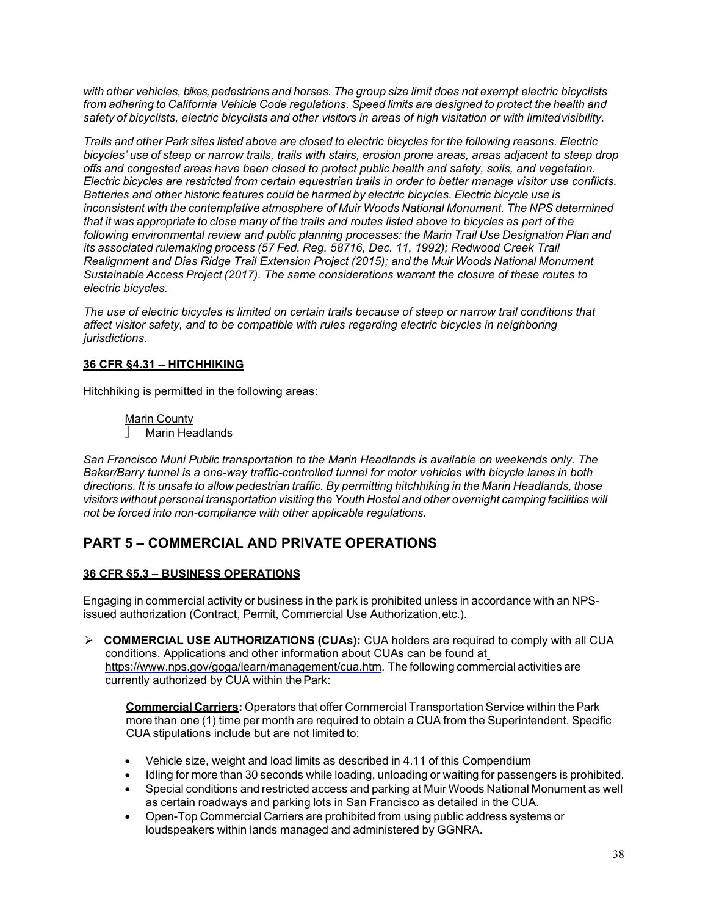*with other vehicles, bikes, pedestrians and horses. The group size limit does not exempt electric bicyclists from adhering to California Vehicle Code regulations. Speed limits are designed to protect the health and safety of bicyclists, electric bicyclists and other visitors in areas of high visitation or with limitedvisibility.*

*Trails and other Park sites listed above are closed to electric bicycles for the following reasons. Electric bicycles' use of steep or narrow trails, trails with stairs, erosion prone areas, areas adjacent to steep drop offs and congested areas have been closed to protect public health and safety, soils, and vegetation. Electric bicycles are restricted from certain equestrian trails in order to better manage visitor use conflicts. Batteries and other historic features could be harmed by electric bicycles. Electric bicycle use is inconsistent with the contemplative atmosphere of Muir Woods National Monument. The NPS determined that it was appropriate to close many of the trails and routes listed above to bicycles as part of the following environmental review and public planning processes: the Marin Trail Use Designation Plan and its associated rulemaking process (57 Fed. Reg. 58716, Dec. 11, 1992); Redwood Creek Trail Realignment and Dias Ridge Trail Extension Project (2015); and the Muir Woods National Monument Sustainable Access Project (2017). The same considerations warrant the closure of these routes to electric bicycles.* 

*The use of electric bicycles is limited on certain trails because of steep or narrow trail conditions that affect visitor safety, and to be compatible with rules regarding electric bicycles in neighboring jurisdictions.*

# **36 CFR §4.31 – HITCHHIKING**

Hitchhiking is permitted in the following areas:

Marin County | Marin Headlands

*San Francisco Muni Public transportation to the Marin Headlands is available on weekends only. The Baker/Barry tunnel is a one-way traffic-controlled tunnel for motor vehicles with bicycle lanes in both directions. It is unsafe to allow pedestrian traffic. By permitting hitchhiking in the Marin Headlands, those visitors without personal transportation visiting the Youth Hostel and other overnight camping facilities will not be forced into non-compliance with other applicable regulations.*

# <span id="page-37-0"></span>**PART 5 – COMMERCIAL AND PRIVATE OPERATIONS**

# **36 CFR §5.3 – BUSINESS OPERATIONS**

Engaging in commercial activity or business in the park is prohibited unless in accordance with an NPSissued authorization (Contract, Permit, Commercial Use Authorization,etc.).

 **COMMERCIAL USE AUTHORIZATIONS (CUAs):** CUA holders are required to comply with all CUA conditions. Applications and other information about CUAs can be found at [https://www.nps.gov/goga/learn/management/cua.htm.](https://www.nps.gov/goga/learn/management/cua.htm) The following commercial activities are currently authorized by CUA within thePark:

**Commercial Carriers:** Operators that offer Commercial Transportation Service within the Park more than one (1) time per month are required to obtain a CUA from the Superintendent. Specific CUA stipulations include but are not limited to:

- Vehicle size, weight and load limits as described in 4.11 of this Compendium
- Idling for more than 30 seconds while loading, unloading or waiting for passengers is prohibited.
- Special conditions and restricted access and parking at Muir Woods National Monument as well as certain roadways and parking lots in San Francisco as detailed in the CUA.
- Open-Top Commercial Carriers are prohibited from using public address systems or loudspeakers within lands managed and administered by GGNRA.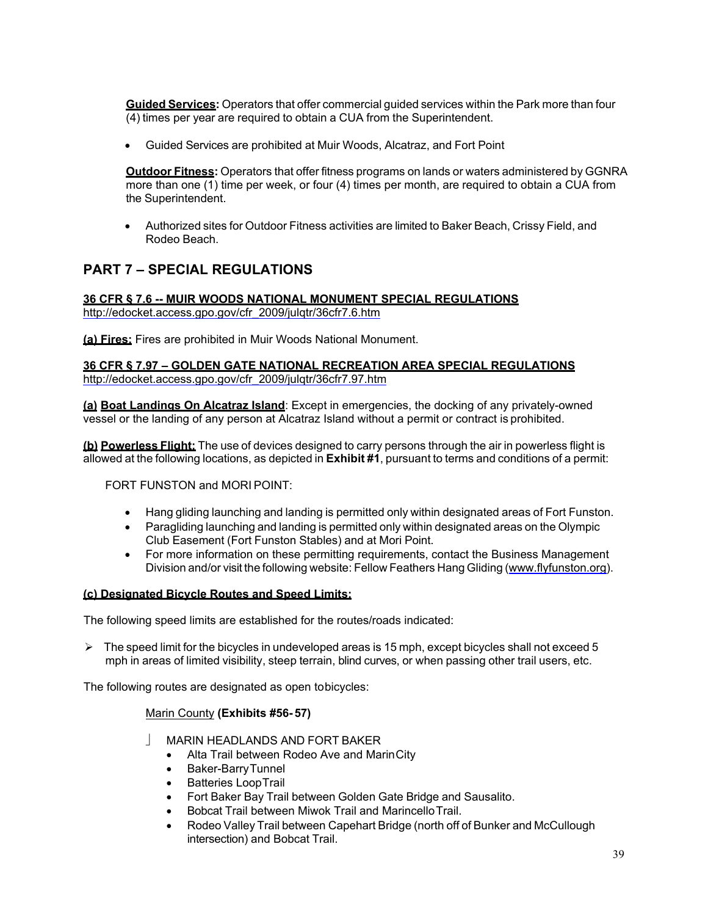**Guided Services:** Operators that offer commercial guided services within the Park more than four (4) times per year are required to obtain a CUA from the Superintendent.

• Guided Services are prohibited at Muir Woods, Alcatraz, and Fort Point

**Outdoor Fitness:** Operators that offer fitness programs on lands or waters administered by GGNRA more than one (1) time per week, or four (4) times per month, are required to obtain a CUA from the Superintendent.

• Authorized sites for Outdoor Fitness activities are limited to Baker Beach, Crissy Field, and Rodeo Beach.

# <span id="page-38-0"></span>**PART 7 – SPECIAL REGULATIONS**

**36 CFR § 7.6 -- MUIR WOODS NATIONAL MONUMENT SPECIAL REGULATIONS** [http://edocket.access.gpo.gov/cfr\\_2009/julqtr/36cfr7.6.htm](http://edocket.access.gpo.gov/cfr_2009/julqtr/36cfr7.6.htm)

**(a) Fires:** Fires are prohibited in Muir Woods National Monument.

**36 CFR § 7.97 – GOLDEN GATE NATIONAL RECREATION AREA SPECIAL REGULATIONS** [http://edocket.access.gpo.gov/cfr\\_2009/julqtr/36cfr7.97.htm](http://edocket.access.gpo.gov/cfr_2009/julqtr/36cfr7.97.htm)

**(a) Boat Landings On Alcatraz Island**: Except in emergencies, the docking of any privately-owned vessel or the landing of any person at Alcatraz Island without a permit or contract is prohibited.

**(b) Powerless Flight:** The use of devices designed to carry persons through the air in powerless flight is allowed at the following locations, as depicted in **Exhibit #1**, pursuant to terms and conditions of a permit:

FORT FUNSTON and MORI POINT:

- Hang gliding launching and landing is permitted only within designated areas of Fort Funston.
- Paragliding launching and landing is permitted only within designated areas on the Olympic Club Easement (Fort Funston Stables) and at Mori Point.
- For more information on these permitting requirements, contact the Business Management Division and/or visit the following website: Fellow Feathers Hang Gliding [\(www.flyfunston.org\)](http://www.flyfunston.org/).

### **(c) Designated Bicycle Routes and Speed Limits:**

The following speed limits are established for the routes/roads indicated:

 $\triangleright$  The speed limit for the bicycles in undeveloped areas is 15 mph, except bicycles shall not exceed 5 mph in areas of limited visibility, steep terrain, blind curves, or when passing other trail users, etc.

The following routes are designated as open tobicycles:

### Marin County **(Exhibits #56- 57)**

- MARIN HEADLANDS AND FORT BAKER
	- Alta Trail between Rodeo Ave and MarinCity
	- Baker-BarryTunnel
	- Batteries LoopTrail
	- Fort Baker Bay Trail between Golden Gate Bridge and Sausalito.
	- Bobcat Trail between Miwok Trail and MarincelloTrail.
	- Rodeo Valley Trail between Capehart Bridge (north off of Bunker and McCullough intersection) and Bobcat Trail.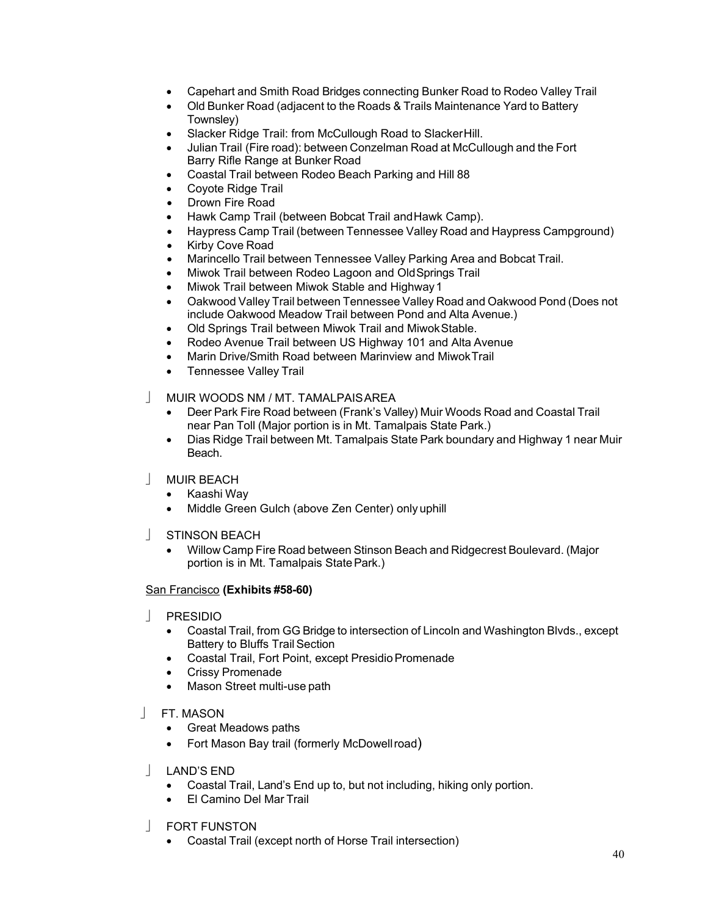- Capehart and Smith Road Bridges connecting Bunker Road to Rodeo Valley Trail
- Old Bunker Road (adjacent to the Roads & Trails Maintenance Yard to Battery Townsley)
- Slacker Ridge Trail: from McCullough Road to SlackerHill.
- Julian Trail (Fire road): between Conzelman Road at McCullough and the Fort Barry Rifle Range at Bunker Road
- Coastal Trail between Rodeo Beach Parking and Hill 88
- Coyote Ridge Trail
- Drown Fire Road
- Hawk Camp Trail (between Bobcat Trail andHawk Camp).
- Haypress Camp Trail (between Tennessee Valley Road and Haypress Campground)
- Kirby Cove Road
- Marincello Trail between Tennessee Valley Parking Area and Bobcat Trail.
- Miwok Trail between Rodeo Lagoon and OldSprings Trail
- Miwok Trail between Miwok Stable and Highway 1
- Oakwood Valley Trail between Tennessee Valley Road and Oakwood Pond (Does not include Oakwood Meadow Trail between Pond and Alta Avenue.)
- Old Springs Trail between Miwok Trail and MiwokStable.
- Rodeo Avenue Trail between US Highway 101 and Alta Avenue
- Marin Drive/Smith Road between Marinview and MiwokTrail
- Tennessee Valley Trail
- MUIR WOODS NM / MT. TAMALPAISAREA
	- Deer Park Fire Road between (Frank's Valley) Muir Woods Road and Coastal Trail near Pan Toll (Major portion is in Mt. Tamalpais State Park.)
	- Dias Ridge Trail between Mt. Tamalpais State Park boundary and Highway 1 near Muir Beach.
- MUIR BEACH
	- Kaashi Way
	- Middle Green Gulch (above Zen Center) only uphill
- STINSON BEACH
	- Willow Camp Fire Road between Stinson Beach and Ridgecrest Boulevard. (Major portion is in Mt. Tamalpais State Park.)

# San Francisco **(Exhibits #58-60)**

- PRESIDIO
	- Coastal Trail, from GG Bridge to intersection of Lincoln and Washington Blvds., except Battery to Bluffs Trail Section
	- Coastal Trail, Fort Point, except Presidio Promenade
	- Crissy Promenade
	- Mason Street multi-use path
- FT. MASON
	- Great Meadows paths
	- Fort Mason Bay trail (formerly McDowellroad)
- | LAND'S END
	- Coastal Trail, Land's End up to, but not including, hiking only portion.
	- El Camino Del Mar Trail
- FORT FUNSTON
	- Coastal Trail (except north of Horse Trail intersection)